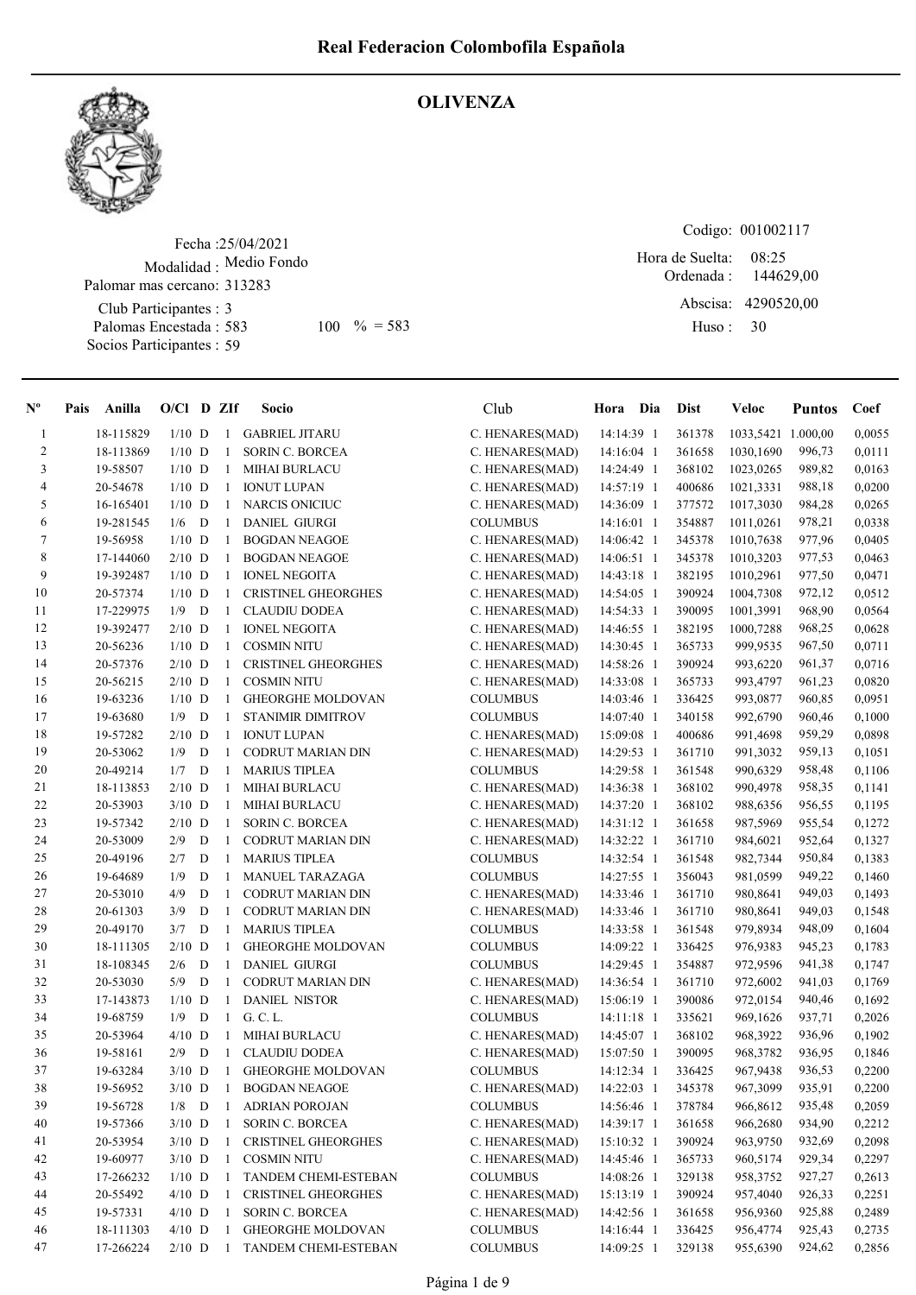

# **OLIVENZA**

Fecha : 25/04/2021 Modalidad : Medio Fondo Club Participantes : 3 Palomas Encestada : 583 Socios Participantes : 59 Palomar mas cercano: 313283 583 100 % = 583 Huso: 30

Codigo: 001002117

Ordenada : Abscisa: 4290520,00 Huso : 08:25 Hora de Suelta: 144629,00

| $N^{\circ}$  | Pais | Anilla    | $O/Cl$ D ZIf |   |                   | Socio                       | Club            | Hora Dia   | <b>Dist</b> | Veloc              | <b>Puntos</b> | Coef   |
|--------------|------|-----------|--------------|---|-------------------|-----------------------------|-----------------|------------|-------------|--------------------|---------------|--------|
| $\mathbf{1}$ |      | 18-115829 | $1/10$ D     |   |                   | 1 GABRIEL JITARU            | C. HENARES(MAD) | 14:14:39 1 | 361378      | 1033,5421 1.000,00 |               | 0,0055 |
| 2            |      | 18-113869 | $1/10$ D     |   | -1                | SORIN C. BORCEA             | C. HENARES(MAD) | 14:16:04 1 | 361658      | 1030,1690          | 996,73        | 0,0111 |
| 3            |      | 19-58507  | $1/10$ D     |   | $\mathbf{1}$      | <b>MIHAI BURLACU</b>        | C. HENARES(MAD) | 14:24:49 1 | 368102      | 1023,0265          | 989,82        | 0,0163 |
| 4            |      | 20-54678  | $1/10$ D     |   | -1                | <b>IONUT LUPAN</b>          | C. HENARES(MAD) | 14:57:19 1 | 400686      | 1021,3331          | 988,18        | 0,0200 |
| 5            |      | 16-165401 | $1/10$ D     |   | -1                | <b>NARCIS ONICIUC</b>       | C. HENARES(MAD) | 14:36:09 1 | 377572      | 1017,3030          | 984,28        | 0,0265 |
| 6            |      | 19-281545 | 1/6          | D | -1                | <b>DANIEL GIURGI</b>        | <b>COLUMBUS</b> | 14:16:01 1 | 354887      | 1011,0261          | 978,21        | 0,0338 |
| $\tau$       |      | 19-56958  | $1/10$ D     |   | 1                 | <b>BOGDAN NEAGOE</b>        | C. HENARES(MAD) | 14:06:42 1 | 345378      | 1010,7638          | 977,96        | 0,0405 |
| 8            |      | 17-144060 | $2/10$ D     |   | -1                | <b>BOGDAN NEAGOE</b>        | C. HENARES(MAD) | 14:06:51 1 | 345378      | 1010,3203          | 977,53        | 0,0463 |
| 9            |      | 19-392487 | $1/10$ D     |   | 1                 | <b>IONEL NEGOITA</b>        | C. HENARES(MAD) | 14:43:18 1 | 382195      | 1010,2961          | 977,50        | 0,0471 |
| 10           |      | 20-57374  | $1/10$ D     |   | $\mathbf{1}$      | <b>CRISTINEL GHEORGHES</b>  | C. HENARES(MAD) | 14:54:05 1 | 390924      | 1004,7308          | 972,12        | 0,0512 |
| 11           |      | 17-229975 | 1/9          | D | 1                 | <b>CLAUDIU DODEA</b>        | C. HENARES(MAD) | 14:54:33 1 | 390095      | 1001,3991          | 968,90        | 0,0564 |
| 12           |      | 19-392477 | $2/10$ D     |   | 1                 | <b>IONEL NEGOITA</b>        | C. HENARES(MAD) | 14:46:55 1 | 382195      | 1000,7288          | 968,25        | 0,0628 |
| 13           |      | 20-56236  | $1/10$ D     |   | $\mathbf{1}$      | <b>COSMIN NITU</b>          | C. HENARES(MAD) | 14:30:45 1 | 365733      | 999,9535           | 967,50        | 0,0711 |
| 14           |      | 20-57376  | $2/10$ D     |   | -1                | <b>CRISTINEL GHEORGHES</b>  | C. HENARES(MAD) | 14:58:26 1 | 390924      | 993,6220           | 961,37        | 0,0716 |
| 15           |      | 20-56215  | $2/10$ D     |   | -1                | <b>COSMIN NITU</b>          | C. HENARES(MAD) | 14:33:08 1 | 365733      | 993,4797           | 961,23        | 0,0820 |
| 16           |      | 19-63236  | $1/10$ D     |   | $\mathbf{1}$      | <b>GHEORGHE MOLDOVAN</b>    | <b>COLUMBUS</b> | 14:03:46 1 | 336425      | 993,0877           | 960,85        | 0,0951 |
| 17           |      | 19-63680  | 1/9          | D | -1                | <b>STANIMIR DIMITROV</b>    | <b>COLUMBUS</b> | 14:07:40 1 | 340158      | 992,6790           | 960,46        | 0,1000 |
| 18           |      | 19-57282  | $2/10$ D     |   | -1                | <b>IONUT LUPAN</b>          | C. HENARES(MAD) | 15:09:08 1 | 400686      | 991,4698           | 959,29        | 0,0898 |
| 19           |      | 20-53062  | 1/9          | D | -1                | <b>CODRUT MARIAN DIN</b>    | C. HENARES(MAD) | 14:29:53 1 | 361710      | 991,3032           | 959,13        | 0,1051 |
| $20\,$       |      | 20-49214  | 1/7          | D | -1                | <b>MARIUS TIPLEA</b>        | <b>COLUMBUS</b> | 14:29:58 1 | 361548      | 990,6329           | 958,48        | 0,1106 |
| 21           |      | 18-113853 | $2/10$ D     |   | -1                | <b>MIHAI BURLACU</b>        | C. HENARES(MAD) | 14:36:38 1 | 368102      | 990,4978           | 958,35        | 0,1141 |
| $22\,$       |      | 20-53903  | $3/10$ D     |   | -1                | <b>MIHAI BURLACU</b>        | C. HENARES(MAD) | 14:37:20 1 | 368102      | 988,6356           | 956,55        | 0,1195 |
| 23           |      | 19-57342  | $2/10$ D     |   | -1                | <b>SORIN C. BORCEA</b>      | C. HENARES(MAD) | 14:31:12 1 | 361658      | 987,5969           | 955,54        | 0,1272 |
| 24           |      | 20-53009  | 2/9          | D | 1                 | <b>CODRUT MARIAN DIN</b>    | C. HENARES(MAD) | 14:32:22 1 | 361710      | 984,6021           | 952,64        | 0,1327 |
| 25           |      | 20-49196  | 2/7          | D | -1                | <b>MARIUS TIPLEA</b>        | <b>COLUMBUS</b> | 14:32:54 1 | 361548      | 982,7344           | 950,84        | 0,1383 |
| 26           |      | 19-64689  | 1/9          | D | -1                | MANUEL TARAZAGA             | <b>COLUMBUS</b> | 14:27:55 1 | 356043      | 981,0599           | 949,22        | 0,1460 |
| $27\,$       |      | 20-53010  | 4/9          | D | 1                 | <b>CODRUT MARIAN DIN</b>    | C. HENARES(MAD) | 14:33:46 1 | 361710      | 980,8641           | 949,03        | 0,1493 |
| 28           |      | 20-61303  | 3/9          | D | -1                | <b>CODRUT MARIAN DIN</b>    | C. HENARES(MAD) | 14:33:46 1 | 361710      | 980,8641           | 949,03        | 0,1548 |
| 29           |      | 20-49170  | 3/7          | D | -1                | <b>MARIUS TIPLEA</b>        | <b>COLUMBUS</b> | 14:33:58 1 | 361548      | 979,8934           | 948,09        | 0,1604 |
| 30           |      | 18-111305 | $2/10$ D     |   | -1                | <b>GHEORGHE MOLDOVAN</b>    | <b>COLUMBUS</b> | 14:09:22 1 | 336425      | 976,9383           | 945,23        | 0,1783 |
| 31           |      | 18-108345 | 2/6          | D | $\mathbf{1}$      | <b>DANIEL GIURGI</b>        | <b>COLUMBUS</b> | 14:29:45 1 | 354887      | 972,9596           | 941,38        | 0,1747 |
| 32           |      | 20-53030  | 5/9          | D | $\mathbf{1}$      | <b>CODRUT MARIAN DIN</b>    | C. HENARES(MAD) | 14:36:54 1 | 361710      | 972,6002           | 941,03        | 0,1769 |
| 33           |      | 17-143873 | $1/10$ D     |   |                   | 1 DANIEL NISTOR             | C. HENARES(MAD) | 15:06:19 1 | 390086      | 972,0154           | 940,46        | 0,1692 |
| 34           |      | 19-68759  | 1/9          | D |                   | 1 G.C.L.                    | <b>COLUMBUS</b> | 14:11:18 1 | 335621      | 969,1626           | 937,71        | 0,2026 |
| 35           |      | 20-53964  | $4/10$ D     |   | -1                | <b>MIHAI BURLACU</b>        | C. HENARES(MAD) | 14:45:07 1 | 368102      | 968,3922           | 936,96        | 0,1902 |
| 36           |      | 19-58161  | 2/9          | D | -1                | <b>CLAUDIU DODEA</b>        | C. HENARES(MAD) | 15:07:50 1 | 390095      | 968,3782           | 936,95        | 0,1846 |
| 37           |      | 19-63284  | $3/10$ D     |   | -1                | <b>GHEORGHE MOLDOVAN</b>    | <b>COLUMBUS</b> | 14:12:34 1 | 336425      | 967,9438           | 936,53        | 0,2200 |
| $3\,8$       |      | 19-56952  | $3/10$ D     |   | $\mathbf{1}$      | <b>BOGDAN NEAGOE</b>        | C. HENARES(MAD) | 14:22:03 1 | 345378      | 967,3099           | 935,91        | 0,2200 |
| 39           |      | 19-56728  | 1/8          | D | -1                | <b>ADRIAN POROJAN</b>       | <b>COLUMBUS</b> | 14:56:46 1 | 378784      | 966,8612           | 935,48        | 0,2059 |
| 40           |      | 19-57366  | $3/10$ D     |   | $\lceil 1 \rceil$ | <b>SORIN C. BORCEA</b>      | C. HENARES(MAD) | 14:39:17 1 | 361658      | 966,2680           | 934,90        | 0,2212 |
| 41           |      | 20-53954  | $3/10$ D     |   | -1                | CRISTINEL GHEORGHES         | C. HENARES(MAD) | 15:10:32 1 | 390924      | 963,9750           | 932,69        | 0,2098 |
| 42           |      | 19-60977  | $3/10$ D     |   | -1                | <b>COSMIN NITU</b>          | C. HENARES(MAD) | 14:45:46 1 | 365733      | 960,5174           | 929,34        | 0,2297 |
| 43           |      | 17-266232 | $1/10$ D     |   | -1                | <b>TANDEM CHEMI-ESTEBAN</b> | <b>COLUMBUS</b> | 14:08:26 1 | 329138      | 958,3752           | 927,27        | 0,2613 |
| 44           |      | 20-55492  | $4/10$ D     |   | $\mathbf{1}$      | <b>CRISTINEL GHEORGHES</b>  | C. HENARES(MAD) | 15:13:19 1 | 390924      | 957,4040           | 926,33        | 0,2251 |
| 45           |      | 19-57331  | $4/10$ D     |   | $\mathbf{1}$      | SORIN C. BORCEA             | C. HENARES(MAD) | 14:42:56 1 | 361658      | 956,9360           | 925,88        | 0,2489 |
| 46           |      | 18-111303 | $4/10$ D     |   | $\mathbf{1}$      | <b>GHEORGHE MOLDOVAN</b>    | <b>COLUMBUS</b> | 14:16:44 1 | 336425      | 956,4774           | 925,43        | 0,2735 |
| 47           |      | 17-266224 | $2/10$ D     |   | $\mathbf{1}$      | TANDEM CHEMI-ESTEBAN        | <b>COLUMBUS</b> | 14:09:25 1 | 329138      | 955,6390           | 924,62        | 0,2856 |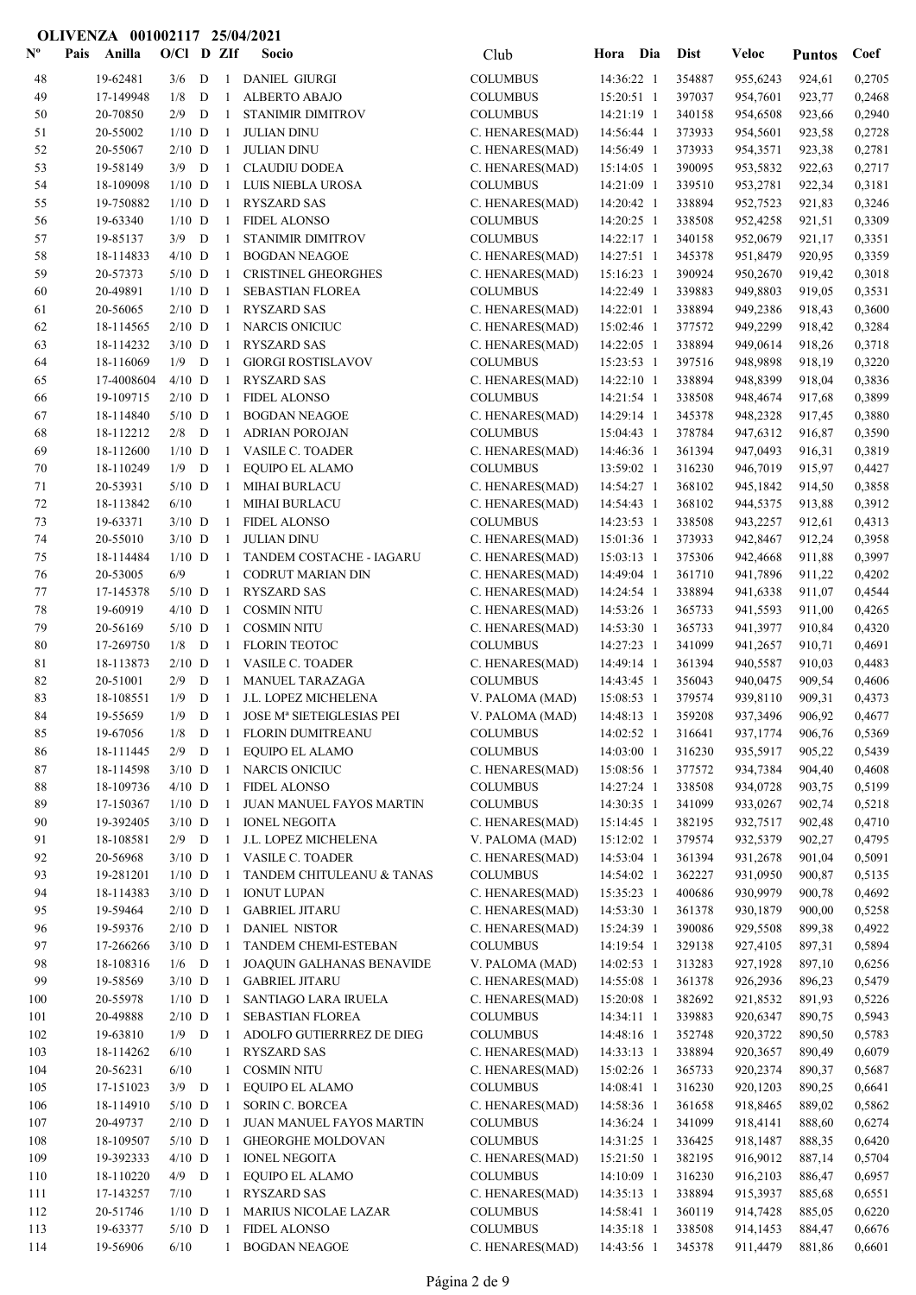| $\mathbf{N}^{\mathbf{o}}$ | Pais | Anilla                 | $O/C1$ D ZIf         |   |                    | Socio                                           | Club                               | Hora Dia                 | <b>Dist</b>      | <b>Veloc</b>         | <b>Puntos</b>    | Coef             |
|---------------------------|------|------------------------|----------------------|---|--------------------|-------------------------------------------------|------------------------------------|--------------------------|------------------|----------------------|------------------|------------------|
| 48                        |      | 19-62481               | 3/6                  | D | $\mathbf{1}$       | <b>DANIEL GIURGI</b>                            | <b>COLUMBUS</b>                    | 14:36:22 1               | 354887           | 955,6243             | 924,61           | 0,2705           |
| 49                        |      | 17-149948              | 1/8                  | D | 1                  | <b>ALBERTO ABAJO</b>                            | <b>COLUMBUS</b>                    | 15:20:51 1               | 397037           | 954,7601             | 923,77           | 0,2468           |
| 50                        |      | 20-70850               | 2/9                  | D | 1                  | STANIMIR DIMITROV                               | <b>COLUMBUS</b>                    | 14:21:19 1               | 340158           | 954,6508             | 923,66           | 0,2940           |
| 51                        |      | 20-55002               | $1/10$ D             |   | 1                  | <b>JULIAN DINU</b>                              | C. HENARES(MAD)                    | 14:56:44 1               | 373933           | 954,5601             | 923,58           | 0,2728           |
| 52                        |      | 20-55067               | $2/10$ D             |   | $\mathbf{1}$       | <b>JULIAN DINU</b>                              | C. HENARES(MAD)                    | 14:56:49 1               | 373933           | 954,3571             | 923,38           | 0,2781           |
| 53                        |      | 19-58149               | $3/9$ D              |   | -1                 | <b>CLAUDIU DODEA</b>                            | C. HENARES(MAD)                    | 15:14:05 1               | 390095           | 953,5832             | 922,63           | 0,2717           |
| 54                        |      | 18-109098              | $1/10$ D             |   | 1                  | LUIS NIEBLA UROSA                               | <b>COLUMBUS</b>                    | 14:21:09 1               | 339510           | 953,2781             | 922,34           | 0,3181           |
| 55                        |      | 19-750882              | $1/10$ D             |   | $\mathbf{1}$       | <b>RYSZARD SAS</b>                              | C. HENARES(MAD)                    | 14:20:42 1               | 338894           | 952,7523             | 921,83           | 0,3246           |
| 56<br>57                  |      | 19-63340<br>19-85137   | $1/10$ D<br>$3/9$ D  |   | $\mathbf{1}$<br>-1 | <b>FIDEL ALONSO</b><br><b>STANIMIR DIMITROV</b> | <b>COLUMBUS</b><br><b>COLUMBUS</b> | 14:20:25 1<br>14:22:17 1 | 338508<br>340158 | 952,4258<br>952,0679 | 921,51           | 0,3309<br>0,3351 |
| 58                        |      | 18-114833              | $4/10$ D             |   | 1                  | <b>BOGDAN NEAGOE</b>                            | C. HENARES(MAD)                    | 14:27:51 1               | 345378           | 951,8479             | 921,17<br>920,95 | 0,3359           |
| 59                        |      | 20-57373               | $5/10$ D             |   | 1                  | <b>CRISTINEL GHEORGHES</b>                      | C. HENARES(MAD)                    | 15:16:23 1               | 390924           | 950,2670             | 919,42           | 0,3018           |
| 60                        |      | 20-49891               | $1/10$ D             |   | 1                  | <b>SEBASTIAN FLOREA</b>                         | <b>COLUMBUS</b>                    | 14:22:49 1               | 339883           | 949,8803             | 919,05           | 0,3531           |
| 61                        |      | 20-56065               | $2/10$ D             |   | 1                  | <b>RYSZARD SAS</b>                              | C. HENARES(MAD)                    | 14:22:01 1               | 338894           | 949,2386             | 918,43           | 0,3600           |
| 62                        |      | 18-114565              | $2/10$ D             |   | $\mathbf{1}$       | <b>NARCIS ONICIUC</b>                           | C. HENARES(MAD)                    | 15:02:46 1               | 377572           | 949,2299             | 918,42           | 0,3284           |
| 63                        |      | 18-114232              | $3/10$ D             |   | $\mathbf{1}$       | <b>RYSZARD SAS</b>                              | C. HENARES(MAD)                    | 14:22:05 1               | 338894           | 949,0614             | 918,26           | 0,3718           |
| 64                        |      | 18-116069              | $1/9$ D              |   | -1                 | <b>GIORGI ROSTISLAVOV</b>                       | <b>COLUMBUS</b>                    | 15:23:53 1               | 397516           | 948,9898             | 918,19           | 0,3220           |
| 65                        |      | 17-4008604             | $4/10$ D             |   | -1                 | <b>RYSZARD SAS</b>                              | C. HENARES(MAD)                    | 14:22:10 1               | 338894           | 948,8399             | 918,04           | 0,3836           |
| 66                        |      | 19-109715              | $2/10$ D             |   | -1                 | <b>FIDEL ALONSO</b>                             | <b>COLUMBUS</b>                    | 14:21:54 1               | 338508           | 948,4674             | 917,68           | 0,3899           |
| 67                        |      | 18-114840              | $5/10$ D             |   | -1                 | <b>BOGDAN NEAGOE</b>                            | C. HENARES(MAD)                    | 14:29:14 1               | 345378           | 948,2328             | 917,45           | 0,3880           |
| 68                        |      | 18-112212              | 2/8                  | D | $\mathbf{1}$       | <b>ADRIAN POROJAN</b>                           | <b>COLUMBUS</b>                    | 15:04:43 1               | 378784           | 947,6312             | 916,87           | 0,3590           |
| 69                        |      | 18-112600              | $1/10$ D             |   |                    | 1 VASILE C. TOADER                              | C. HENARES(MAD)                    | 14:46:36 1               | 361394           | 947,0493             | 916,31           | 0,3819           |
| 70                        |      | 18-110249              | $1/9$ D              |   | $\mathbf{1}$       | EQUIPO EL ALAMO                                 | <b>COLUMBUS</b>                    | 13:59:02 1               | 316230           | 946,7019             | 915,97           | 0,4427           |
| 71                        |      | 20-53931               | $5/10$ D             |   | 1                  | <b>MIHAI BURLACU</b>                            | C. HENARES(MAD)                    | 14:54:27 1               | 368102           | 945,1842             | 914,50           | 0,3858           |
| 72<br>73                  |      | 18-113842<br>19-63371  | 6/10<br>$3/10$ D     |   | 1<br>-1            | <b>MIHAI BURLACU</b><br><b>FIDEL ALONSO</b>     | C. HENARES(MAD)<br><b>COLUMBUS</b> | 14:54:43 1<br>14:23:53 1 | 368102<br>338508 | 944,5375<br>943,2257 | 913,88<br>912,61 | 0,3912<br>0,4313 |
| 74                        |      | 20-55010               | $3/10$ D             |   | $\mathbf{1}$       | <b>JULIAN DINU</b>                              | C. HENARES(MAD)                    | 15:01:36 1               | 373933           | 942,8467             | 912,24           | 0,3958           |
| 75                        |      | 18-114484              | $1/10$ D             |   | -1                 | TANDEM COSTACHE - IAGARU                        | C. HENARES(MAD)                    | 15:03:13 1               | 375306           | 942,4668             | 911,88           | 0,3997           |
| 76                        |      | 20-53005               | 6/9                  |   | $\mathbf{1}$       | <b>CODRUT MARIAN DIN</b>                        | C. HENARES(MAD)                    | 14:49:04 1               | 361710           | 941,7896             | 911,22           | 0,4202           |
| 77                        |      | 17-145378              | $5/10$ D             |   | -1                 | <b>RYSZARD SAS</b>                              | C. HENARES(MAD)                    | 14:24:54 1               | 338894           | 941,6338             | 911,07           | 0,4544           |
| 78                        |      | 19-60919               | $4/10$ D             |   | 1                  | <b>COSMIN NITU</b>                              | C. HENARES(MAD)                    | 14:53:26 1               | 365733           | 941,5593             | 911,00           | 0,4265           |
| 79                        |      | 20-56169               | $5/10$ D             |   | 1                  | <b>COSMIN NITU</b>                              | C. HENARES(MAD)                    | 14:53:30 1               | 365733           | 941,3977             | 910,84           | 0,4320           |
| 80                        |      | 17-269750              | 1/8                  | D | 1                  | <b>FLORIN TEOTOC</b>                            | <b>COLUMBUS</b>                    | 14:27:23 1               | 341099           | 941,2657             | 910,71           | 0,4691           |
| 81                        |      | 18-113873              | $2/10$ D             |   | $\mathbf{1}$       | <b>VASILE C. TOADER</b>                         | C. HENARES(MAD)                    | 14:49:14 1               | 361394           | 940,5587             | 910,03           | 0,4483           |
| 82                        |      | 20-51001               | 2/9                  | D | 1                  | <b>MANUEL TARAZAGA</b>                          | <b>COLUMBUS</b>                    | 14:43:45 1               | 356043           | 940,0475             | 909,54           | 0,4606           |
| 83                        |      | 18-108551              | 1/9                  | D | -1                 | J.L. LOPEZ MICHELENA                            | V. PALOMA (MAD)                    | 15:08:53 1               | 379574           | 939,8110             | 909,31           | 0,4373           |
| 84                        |      | 19-55659               | 1/9                  | D | -1                 | JOSE Mª SIETEIGLESIAS PEI                       | V. PALOMA (MAD)                    | 14:48:13 1               | 359208           | 937,3496             | 906,92           | 0,4677           |
| 85                        |      | 19-67056               | $1/8\,$              | D | 1                  | FLORIN DUMITREANU                               | <b>COLUMBUS</b>                    | 14:02:52 1               | 316641           | 937,1774             | 906,76           | 0,5369           |
| 86<br>87                  |      | 18-111445<br>18-114598 | 2/9<br>$3/10$ D      | D | 1<br>1             | EQUIPO EL ALAMO<br><b>NARCIS ONICIUC</b>        | <b>COLUMBUS</b><br>C. HENARES(MAD) | 14:03:00 1<br>15:08:56 1 | 316230<br>377572 | 935,5917<br>934,7384 | 905,22<br>904,40 | 0,5439<br>0,4608 |
| 88                        |      | 18-109736              | $4/10$ D             |   | $\mathbf{1}$       | <b>FIDEL ALONSO</b>                             | <b>COLUMBUS</b>                    | 14:27:24 1               | 338508           | 934,0728             | 903,75           | 0,5199           |
| 89                        |      | 17-150367              | $1/10$ D             |   | -1                 | JUAN MANUEL FAYOS MARTIN                        | <b>COLUMBUS</b>                    | 14:30:35 1               | 341099           | 933,0267             | 902,74           | 0,5218           |
| 90                        |      | 19-392405              | $3/10$ D             |   | -1                 | <b>IONEL NEGOITA</b>                            | C. HENARES(MAD)                    | 15:14:45 1               | 382195           | 932,7517             | 902,48           | 0,4710           |
| 91                        |      | 18-108581              | $2/9$ D              |   | -1                 | J.L. LOPEZ MICHELENA                            | V. PALOMA (MAD)                    | 15:12:02 1               | 379574           | 932,5379             | 902,27           | 0,4795           |
| 92                        |      | 20-56968               | $3/10$ D             |   | 1                  | <b>VASILE C. TOADER</b>                         | C. HENARES(MAD)                    | 14:53:04 1               | 361394           | 931,2678             | 901,04           | 0,5091           |
| 93                        |      | 19-281201              | $1/10$ D             |   | $\mathbf{1}$       | TANDEM CHITULEANU & TANAS                       | <b>COLUMBUS</b>                    | 14:54:02 1               | 362227           | 931,0950             | 900,87           | 0,5135           |
| 94                        |      | 18-114383              | $3/10$ D             |   | -1                 | <b>IONUT LUPAN</b>                              | C. HENARES(MAD)                    | 15:35:23 1               | 400686           | 930,9979             | 900,78           | 0,4692           |
| 95                        |      | 19-59464               | $2/10$ D             |   | 1                  | <b>GABRIEL JITARU</b>                           | C. HENARES(MAD)                    | 14:53:30 1               | 361378           | 930,1879             | 900,00           | 0,5258           |
| 96                        |      | 19-59376               | $2/10$ D             |   | 1                  | <b>DANIEL NISTOR</b>                            | C. HENARES(MAD)                    | 15:24:39 1               | 390086           | 929,5508             | 899,38           | 0,4922           |
| 97                        |      | 17-266266              | $3/10$ D             |   | $\mathbf{1}$       | TANDEM CHEMI-ESTEBAN                            | <b>COLUMBUS</b>                    | 14:19:54 1               | 329138           | 927,4105             | 897,31           | 0,5894           |
| 98                        |      | 18-108316              | $1/6$ D              |   | 1                  | JOAQUIN GALHANAS BENAVIDE                       | V. PALOMA (MAD)                    | 14:02:53 1               | 313283           | 927,1928             | 897,10           | 0,6256           |
| 99                        |      | 19-58569               | $3/10$ D             |   | $\mathbf{1}$       | <b>GABRIEL JITARU</b>                           | C. HENARES(MAD)                    | 14:55:08 1               | 361378           | 926,2936             | 896,23           | 0,5479           |
| 100                       |      | 20-55978<br>20-49888   | $1/10$ D<br>$2/10$ D |   | $\mathbf{1}$<br>-1 | SANTIAGO LARA IRUELA<br>SEBASTIAN FLOREA        | C. HENARES(MAD)<br><b>COLUMBUS</b> | 15:20:08 1               | 382692<br>339883 | 921,8532             | 891,93<br>890,75 | 0,5226<br>0,5943 |
| 101<br>102                |      | 19-63810               | $1/9$ D              |   | -1                 | ADOLFO GUTIERRREZ DE DIEG                       | <b>COLUMBUS</b>                    | 14:34:11 1<br>14:48:16 1 | 352748           | 920,6347<br>920,3722 | 890,50           | 0,5783           |
| 103                       |      | 18-114262              | 6/10                 |   | 1                  | <b>RYSZARD SAS</b>                              | C. HENARES(MAD)                    | 14:33:13 1               | 338894           | 920,3657             | 890,49           | 0,6079           |
| 104                       |      | 20-56231               | $6/10$               |   | 1                  | <b>COSMIN NITU</b>                              | C. HENARES(MAD)                    | 15:02:26 1               | 365733           | 920,2374             | 890,37           | 0,5687           |
| 105                       |      | 17-151023              | $3/9$ D              |   | -1                 | EQUIPO EL ALAMO                                 | <b>COLUMBUS</b>                    | 14:08:41 1               | 316230           | 920,1203             | 890,25           | 0,6641           |
| 106                       |      | 18-114910              | $5/10$ D             |   | -1                 | <b>SORIN C. BORCEA</b>                          | C. HENARES(MAD)                    | 14:58:36 1               | 361658           | 918,8465             | 889,02           | 0,5862           |
| 107                       |      | 20-49737               | $2/10$ D             |   | 1                  | JUAN MANUEL FAYOS MARTIN                        | <b>COLUMBUS</b>                    | 14:36:24 1               | 341099           | 918,4141             | 888,60           | 0,6274           |
| 108                       |      | 18-109507              | $5/10$ D             |   | 1                  | <b>GHEORGHE MOLDOVAN</b>                        | <b>COLUMBUS</b>                    | 14:31:25 1               | 336425           | 918,1487             | 888,35           | 0,6420           |
| 109                       |      | 19-392333              | $4/10$ D             |   | $\mathbf{1}$       | <b>IONEL NEGOITA</b>                            | C. HENARES(MAD)                    | 15:21:50 1               | 382195           | 916,9012             | 887,14           | 0,5704           |
| 110                       |      | 18-110220              | $4/9$ D              |   | -1                 | <b>EQUIPO EL ALAMO</b>                          | <b>COLUMBUS</b>                    | 14:10:09 1               | 316230           | 916,2103             | 886,47           | 0,6957           |
| 111                       |      | 17-143257              | 7/10                 |   | 1                  | <b>RYSZARD SAS</b>                              | C. HENARES(MAD)                    | 14:35:13 1               | 338894           | 915,3937             | 885,68           | 0,6551           |
| 112                       |      | 20-51746               | $1/10$ D             |   | -1                 | <b>MARIUS NICOLAE LAZAR</b>                     | <b>COLUMBUS</b>                    | 14:58:41 1               | 360119           | 914,7428             | 885,05           | 0,6220           |
| 113                       |      | 19-63377               | $5/10$ D             |   | -1                 | <b>FIDEL ALONSO</b>                             | <b>COLUMBUS</b>                    | 14:35:18 1               | 338508           | 914,1453             | 884,47           | 0,6676           |
| 114                       |      | 19-56906               | 6/10                 |   | 1                  | <b>BOGDAN NEAGOE</b>                            | C. HENARES(MAD)                    | 14:43:56 1               | 345378           | 911,4479             | 881,86           | 0,6601           |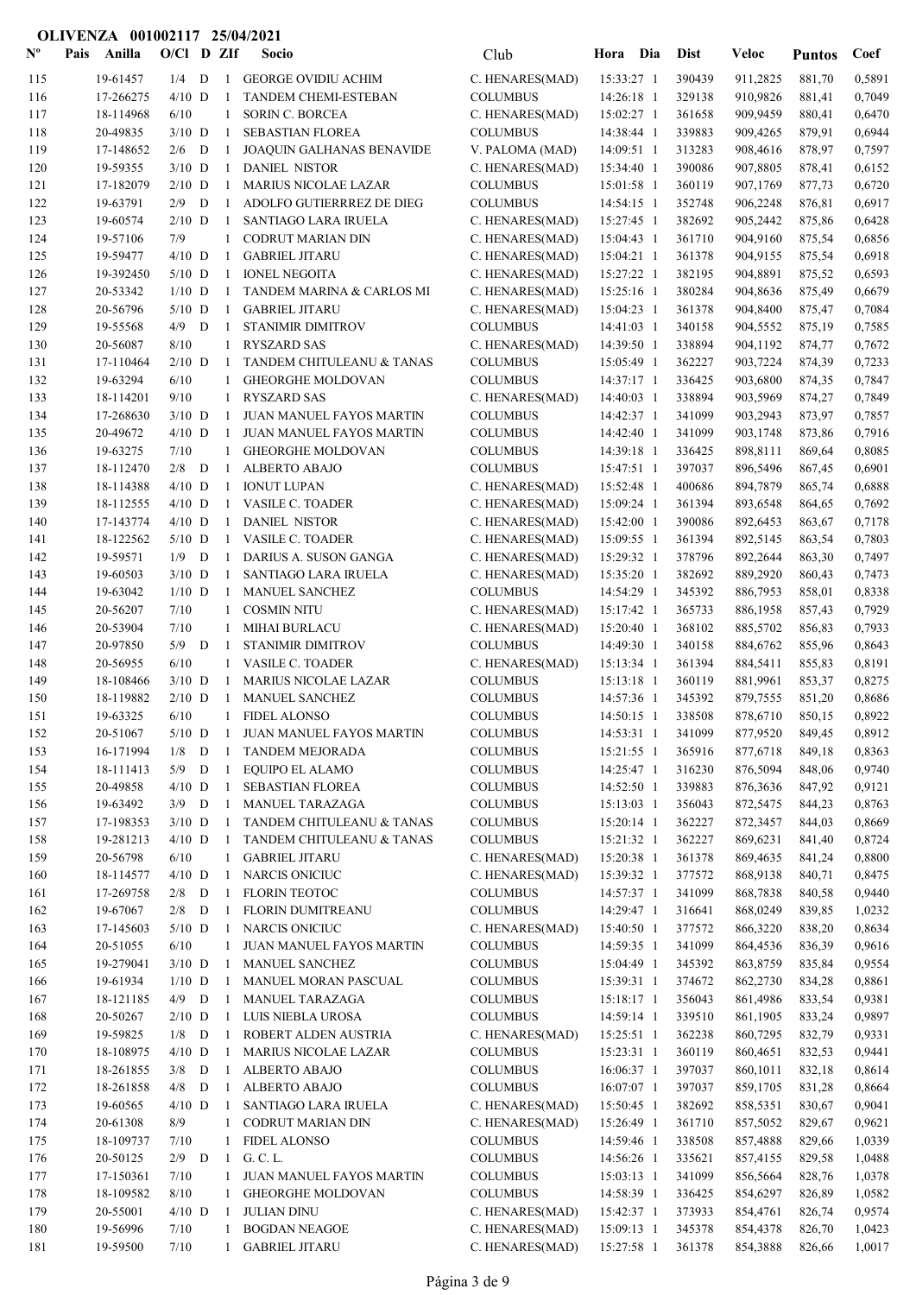| $N^{\text{o}}$ | Pais | Anilla                | $O/Cl$ D ZIf |        |              | Socio                                            | Club                               | Hora Dia                 | <b>Dist</b>      | Veloc                | <b>Puntos</b>    | Coef             |
|----------------|------|-----------------------|--------------|--------|--------------|--------------------------------------------------|------------------------------------|--------------------------|------------------|----------------------|------------------|------------------|
| 115            |      | 19-61457              | 1/4          | D      | 1            | <b>GEORGE OVIDIU ACHIM</b>                       | C. HENARES(MAD)                    | 15:33:27 1               | 390439           | 911,2825             | 881,70           | 0,5891           |
| 116            |      | 17-266275             | $4/10$ D     |        | -1           | <b>TANDEM CHEMI-ESTEBAN</b>                      | <b>COLUMBUS</b>                    | 14:26:18 1               | 329138           | 910,9826             | 881,41           | 0.7049           |
| 117            |      | 18-114968             | 6/10         |        | $\mathbf{1}$ | <b>SORIN C. BORCEA</b>                           | C. HENARES(MAD)                    | 15:02:27 1               | 361658           | 909,9459             | 880,41           | 0,6470           |
| 118            |      | 20-49835              | $3/10$ D     |        | -1           | SEBASTIAN FLOREA                                 | <b>COLUMBUS</b>                    | 14:38:44 1               | 339883           | 909,4265             | 879,91           | 0,6944           |
| 119            |      | 17-148652             | 2/6          | D      | -1           | JOAQUIN GALHANAS BENAVIDE                        | V. PALOMA (MAD)                    | 14:09:51 1               | 313283           | 908,4616             | 878,97           | 0,7597           |
| 120            |      | 19-59355              | $3/10$ D     |        | -1           | <b>DANIEL NISTOR</b>                             | C. HENARES(MAD)                    | 15:34:40 1               | 390086           | 907,8805             | 878,41           | 0,6152           |
| 121            |      | 17-182079             | $2/10$ D     |        | -1           | <b>MARIUS NICOLAE LAZAR</b>                      | <b>COLUMBUS</b>                    | 15:01:58 1               | 360119           | 907,1769             | 877,73           | 0,6720           |
| 122            |      | 19-63791              | 2/9          | D      | -1           | ADOLFO GUTIERRREZ DE DIEG                        | <b>COLUMBUS</b>                    | $14:54:15$ 1             | 352748           | 906,2248             | 876,81           | 0,6917           |
| 123            |      | 19-60574              | $2/10$ D     |        | -1           | <b>SANTIAGO LARA IRUELA</b>                      | C. HENARES(MAD)                    | 15:27:45 1               | 382692           | 905,2442             | 875,86           | 0,6428           |
| 124            |      | 19-57106              | 7/9          |        | 1            | <b>CODRUT MARIAN DIN</b>                         | C. HENARES(MAD)                    | 15:04:43 1               | 361710           | 904,9160             | 875,54           | 0,6856           |
| 125            |      | 19-59477              | $4/10$ D     |        | -1           | <b>GABRIEL JITARU</b>                            | C. HENARES(MAD)                    | 15:04:21 1               | 361378           | 904,9155             | 875,54           | 0,6918           |
| 126            |      | 19-392450             | $5/10$ D     |        | 1            | <b>IONEL NEGOITA</b>                             | C. HENARES(MAD)                    | 15:27:22 1               | 382195           | 904,8891             | 875,52           | 0,6593           |
| 127            |      | 20-53342              | $1/10$ D     |        | 1            | TANDEM MARINA & CARLOS MI                        | C. HENARES(MAD)                    | 15:25:16 1               | 380284           | 904,8636             | 875,49           | 0,6679           |
| 128            |      | 20-56796              | $5/10$ D     |        | 1            | <b>GABRIEL JITARU</b>                            | C. HENARES(MAD)                    | 15:04:23 1               | 361378           | 904,8400             | 875,47           | 0,7084           |
| 129            |      | 19-55568              | 4/9          | D      | -1           | STANIMIR DIMITROV                                | <b>COLUMBUS</b>                    | 14:41:03 1               | 340158           | 904,5552             | 875,19           | 0,7585           |
| 130            |      | 20-56087              | 8/10         |        | 1            | <b>RYSZARD SAS</b>                               | C. HENARES(MAD)                    | 14:39:50 1               | 338894           | 904,1192             | 874,77           | 0,7672           |
| 131            |      | 17-110464             | $2/10$ D     |        | -1           | TANDEM CHITULEANU & TANAS                        | <b>COLUMBUS</b>                    | 15:05:49 1               | 362227           | 903,7224             | 874,39           | 0,7233           |
| 132            |      | 19-63294              | 6/10         |        | 1            | <b>GHEORGHE MOLDOVAN</b>                         | <b>COLUMBUS</b>                    | 14:37:17 1               | 336425           | 903,6800             | 874,35           | 0,7847           |
| 133            |      | 18-114201             | 9/10         |        | 1            | <b>RYSZARD SAS</b>                               | C. HENARES(MAD)                    | 14:40:03 1               | 338894           | 903,5969             | 874,27           | 0,7849           |
| 134            |      | 17-268630             | $3/10$ D     |        | -1           | JUAN MANUEL FAYOS MARTIN                         | <b>COLUMBUS</b>                    | 14:42:37 1               | 341099           | 903,2943             | 873,97           | 0,7857           |
| 135            |      | 20-49672              | $4/10$ D     |        | -1           | JUAN MANUEL FAYOS MARTIN                         | <b>COLUMBUS</b>                    | 14:42:40 1               | 341099           | 903,1748             | 873,86           | 0,7916           |
| 136            |      | 19-63275              | 7/10         |        | 1            | <b>GHEORGHE MOLDOVAN</b>                         | <b>COLUMBUS</b>                    | 14:39:18 1               | 336425           | 898,8111             | 869,64           | 0,8085           |
| 137            |      | 18-112470             | 2/8          | D      | -1           | <b>ALBERTO ABAJO</b>                             | <b>COLUMBUS</b>                    | 15:47:51 1               | 397037           | 896,5496             | 867,45           | 0,6901           |
| 138            |      | 18-114388             | $4/10$ D     |        | 1            | <b>IONUT LUPAN</b>                               | C. HENARES(MAD)                    | 15:52:48 1               | 400686           | 894,7879             | 865,74           | 0,6888           |
| 139            |      | 18-112555             | $4/10$ D     |        | 1            | <b>VASILE C. TOADER</b>                          | C. HENARES(MAD)                    | 15:09:24 1               | 361394           | 893,6548             | 864,65           | 0,7692           |
| 140            |      | 17-143774             | $4/10$ D     |        | 1            | <b>DANIEL NISTOR</b>                             | C. HENARES(MAD)                    | 15:42:00 1               | 390086           | 892,6453             | 863,67           | 0,7178           |
| 141            |      | 18-122562             | $5/10$ D     |        | -1           | <b>VASILE C. TOADER</b>                          | C. HENARES(MAD)                    | 15:09:55 1               | 361394           | 892,5145             | 863,54           | 0,7803           |
| 142            |      | 19-59571              | 1/9          | D      | -1           | DARIUS A. SUSON GANGA                            | C. HENARES(MAD)                    | 15:29:32 1               | 378796           | 892,2644             | 863,30           | 0,7497           |
| 143            |      | 19-60503              | $3/10$ D     |        | 1            | SANTIAGO LARA IRUELA                             | C. HENARES(MAD)                    | 15:35:20 1               | 382692           | 889,2920             | 860,43           | 0,7473           |
| 144            |      | 19-63042              | $1/10$ D     |        | -1           | MANUEL SANCHEZ                                   | <b>COLUMBUS</b>                    | 14:54:29 1               | 345392           | 886,7953             | 858,01           | 0,8338           |
| 145            |      | 20-56207              | 7/10         |        | 1            | <b>COSMIN NITU</b>                               | C. HENARES(MAD)                    | 15:17:42 1               | 365733           | 886,1958             | 857,43           | 0,7929           |
| 146            |      | 20-53904              | 7/10         |        | 1            | <b>MIHAI BURLACU</b>                             | C. HENARES(MAD)                    | 15:20:40 1               | 368102           | 885,5702             | 856,83           | 0,7933           |
| 147            |      | 20-97850              | 5/9          | D      | -1           | STANIMIR DIMITROV                                | <b>COLUMBUS</b>                    | 14:49:30 1               | 340158           | 884,6762             | 855,96           | 0,8643           |
| 148            |      | 20-56955              | 6/10         |        | 1            | VASILE C. TOADER                                 | C. HENARES(MAD)                    | 15:13:34 1               | 361394           | 884,5411             | 855,83           | 0,8191           |
| 149            |      | 18-108466             | $3/10$ D     |        | -1           | <b>MARIUS NICOLAE LAZAR</b>                      | <b>COLUMBUS</b>                    | $15:13:18$ 1             | 360119           | 881,9961             | 853,37           | 0,8275           |
| 150            |      | 18-119882             | $2/10$ D     |        | -1           | MANUEL SANCHEZ                                   | <b>COLUMBUS</b>                    | 14:57:36 1               | 345392<br>338508 | 879,7555             | 851,20           | 0,8686           |
| 151            |      | 19-63325              | 6/10         |        | $\mathbf{1}$ | <b>FIDEL ALONSO</b>                              | <b>COLUMBUS</b>                    | $14:50:15$ 1             |                  | 878,6710             | 850,15           | 0,8922           |
| 152            |      | 20-51067              | $5/10$ D     |        |              | <b>JUAN MANUEL FAYOS MARTIN</b>                  | COLUMBUS                           | 14:53:31 1               | 341099<br>365916 | 877,9520             | 849,45<br>849,18 | 0,8912           |
| 153            |      | 16-171994             | 1/8<br>5/9   | D<br>D | 1<br>-1      | <b>TANDEM MEJORADA</b><br><b>EQUIPO EL ALAMO</b> | <b>COLUMBUS</b><br><b>COLUMBUS</b> | 15:21:55 1               | 316230           | 877,6718             |                  | 0,8363<br>0,9740 |
| 154<br>155     |      | 18-111413<br>20-49858 | $4/10$ D     |        | -1           | SEBASTIAN FLOREA                                 | <b>COLUMBUS</b>                    | 14:25:47 1<br>14:52:50 1 | 339883           | 876,5094<br>876,3636 | 848,06<br>847,92 | 0,9121           |
| 156            |      | 19-63492              | $3/9$ D      |        | 1            | MANUEL TARAZAGA                                  | <b>COLUMBUS</b>                    | 15:13:03 1               | 356043           | 872,5475             | 844,23           | 0,8763           |
| 157            |      | 17-198353             | $3/10$ D     |        | -1           | TANDEM CHITULEANU & TANAS                        | <b>COLUMBUS</b>                    | 15:20:14 1               | 362227           | 872,3457             | 844,03           | 0,8669           |
| 158            |      | 19-281213             | $4/10$ D     |        | -1           | TANDEM CHITULEANU & TANAS                        | <b>COLUMBUS</b>                    | 15:21:32 1               | 362227           | 869,6231             | 841,40           | 0,8724           |
| 159            |      | 20-56798              | 6/10         |        | 1            | <b>GABRIEL JITARU</b>                            | C. HENARES(MAD)                    | 15:20:38 1               | 361378           | 869,4635             | 841,24           | 0,8800           |
| 160            |      | 18-114577             | $4/10$ D     |        | 1            | NARCIS ONICIUC                                   | C. HENARES(MAD)                    | 15:39:32 1               | 377572           | 868,9138             | 840,71           | 0,8475           |
| 161            |      | 17-269758             | $2/8$ D      |        | 1            | <b>FLORIN TEOTOC</b>                             | <b>COLUMBUS</b>                    | 14:57:37 1               | 341099           | 868,7838             | 840,58           | 0,9440           |
| 162            |      | 19-67067              | $2/8$ D      |        | 1            | FLORIN DUMITREANU                                | <b>COLUMBUS</b>                    | 14:29:47 1               | 316641           | 868,0249             | 839,85           | 1,0232           |
| 163            |      | 17-145603             | $5/10$ D     |        | 1            | <b>NARCIS ONICIUC</b>                            | C. HENARES(MAD)                    | 15:40:50 1               | 377572           | 866,3220             | 838,20           | 0,8634           |
| 164            |      | 20-51055              | 6/10         |        | $\mathbf{1}$ | JUAN MANUEL FAYOS MARTIN                         | <b>COLUMBUS</b>                    | 14:59:35 1               | 341099           | 864,4536             | 836,39           | 0,9616           |
| 165            |      | 19-279041             | $3/10$ D     |        | -1           | <b>MANUEL SANCHEZ</b>                            | <b>COLUMBUS</b>                    | 15:04:49 1               | 345392           | 863,8759             | 835,84           | 0,9554           |
| 166            |      | 19-61934              | $1/10$ D     |        | -1           | MANUEL MORAN PASCUAL                             | <b>COLUMBUS</b>                    | 15:39:31 1               | 374672           | 862,2730             | 834,28           | 0,8861           |
| 167            |      | 18-121185             | 4/9          | D      | -1           | MANUEL TARAZAGA                                  | <b>COLUMBUS</b>                    | 15:18:17 1               | 356043           | 861,4986             | 833,54           | 0,9381           |
| 168            |      | 20-50267              | $2/10$ D     |        | -1           | LUIS NIEBLA UROSA                                | <b>COLUMBUS</b>                    | 14:59:14 1               | 339510           | 861,1905             | 833,24           | 0,9897           |
| 169            |      | 19-59825              | $1/8$ D      |        | -1           | ROBERT ALDEN AUSTRIA                             | C. HENARES(MAD)                    | 15:25:51 1               | 362238           | 860,7295             | 832,79           | 0,9331           |
| 170            |      | 18-108975             | $4/10$ D     |        | -1           | <b>MARIUS NICOLAE LAZAR</b>                      | <b>COLUMBUS</b>                    | 15:23:31 1               | 360119           | 860,4651             | 832,53           | 0,9441           |
| 171            |      | 18-261855             | $3/8$ D      |        | -1           | <b>ALBERTO ABAJO</b>                             | <b>COLUMBUS</b>                    | 16:06:37 1               | 397037           | 860,1011             | 832,18           | 0,8614           |
| 172            |      | 18-261858             | 4/8          | D      | -1           | <b>ALBERTO ABAJO</b>                             | <b>COLUMBUS</b>                    | 16:07:07 1               | 397037           | 859,1705             | 831,28           | 0,8664           |
| 173            |      | 19-60565              | $4/10$ D     |        | -1           | SANTIAGO LARA IRUELA                             | C. HENARES(MAD)                    | 15:50:45 1               | 382692           | 858,5351             | 830,67           | 0,9041           |
| 174            |      | 20-61308              | 8/9          |        | 1            | <b>CODRUT MARIAN DIN</b>                         | C. HENARES(MAD)                    | 15:26:49 1               | 361710           | 857,5052             | 829,67           | 0,9621           |
| 175            |      | 18-109737             | 7/10         |        | $\mathbf{1}$ | <b>FIDEL ALONSO</b>                              | <b>COLUMBUS</b>                    | 14:59:46 1               | 338508           | 857,4888             | 829,66           | 1,0339           |
| 176            |      | 20-50125              | $2/9$ D      |        | 1            | G. C. L.                                         | <b>COLUMBUS</b>                    | 14:56:26 1               | 335621           | 857,4155             | 829,58           | 1,0488           |
| 177            |      | 17-150361             | 7/10         |        |              | JUAN MANUEL FAYOS MARTIN                         | <b>COLUMBUS</b>                    | 15:03:13 1               | 341099           | 856,5664             | 828,76           | 1,0378           |
| 178            |      | 18-109582             | 8/10         |        | 1            | <b>GHEORGHE MOLDOVAN</b>                         | <b>COLUMBUS</b>                    | 14:58:39 1               | 336425           | 854,6297             | 826,89           | 1,0582           |
| 179            |      | 20-55001              | $4/10$ D     |        | -1           | <b>JULIAN DINU</b>                               | C. HENARES(MAD)                    | 15:42:37 1               | 373933           | 854,4761             | 826,74           | 0,9574           |
| 180            |      | 19-56996              | 7/10         |        | 1            | <b>BOGDAN NEAGOE</b>                             | C. HENARES(MAD)                    | 15:09:13 1               | 345378           | 854,4378             | 826,70           | 1,0423           |
| 181            |      | 19-59500              | 7/10         |        | 1            | <b>GABRIEL JITARU</b>                            | C. HENARES(MAD)                    | 15:27:58 1               | 361378           | 854,3888             | 826,66           | 1,0017           |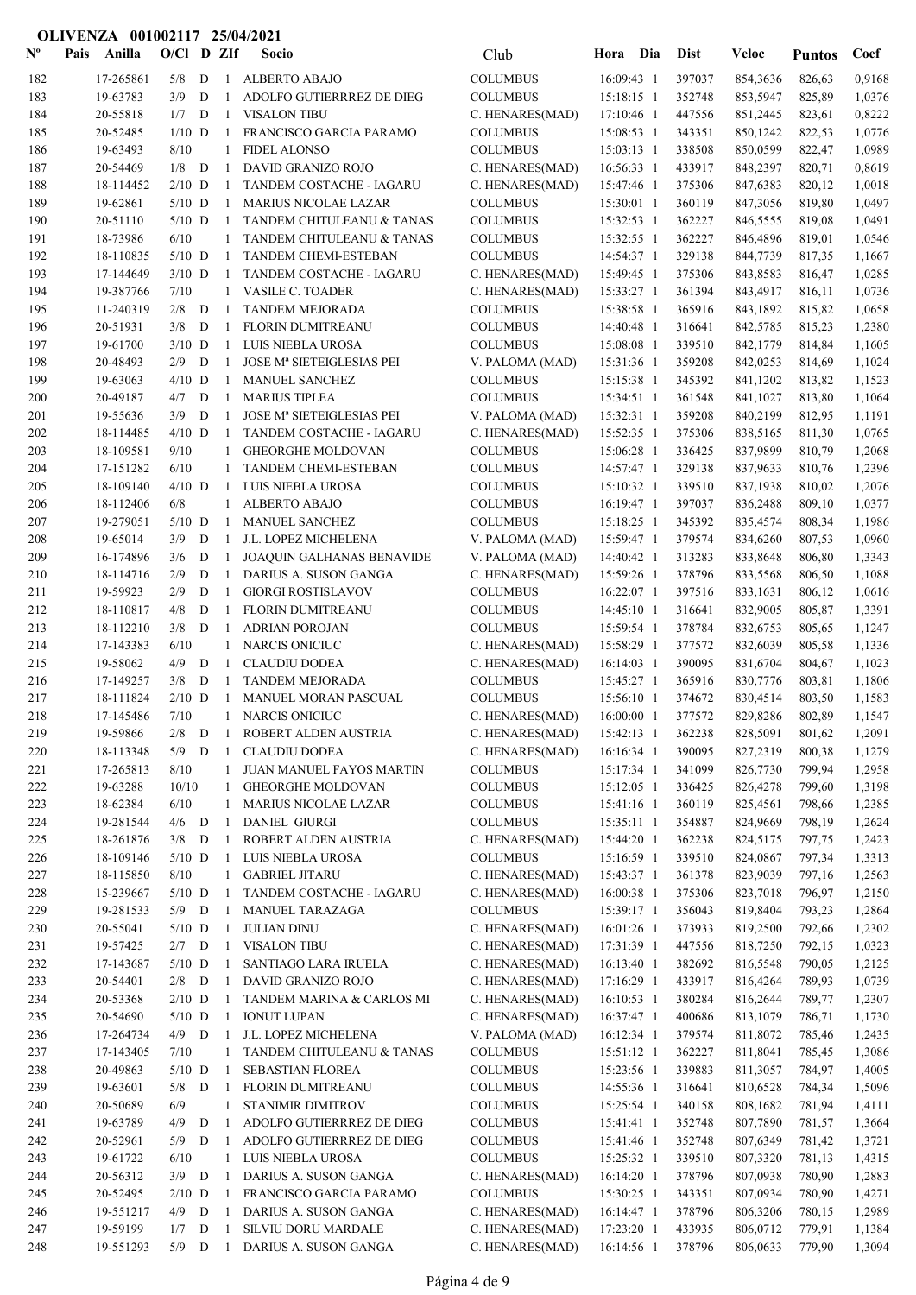| $N^{\text{o}}$ | Pais | Anilla                 | $O/Cl$ D ZIf         |        |                    | Socio                                             | Club                               | Hora Dia     |                          | <b>Dist</b>      | <b>Veloc</b>         | <b>Puntos</b>    | Coef             |
|----------------|------|------------------------|----------------------|--------|--------------------|---------------------------------------------------|------------------------------------|--------------|--------------------------|------------------|----------------------|------------------|------------------|
| 182            |      | 17-265861              | 5/8                  | D      | -1                 | <b>ALBERTO ABAJO</b>                              | <b>COLUMBUS</b>                    | 16:09:43 1   |                          | 397037           | 854,3636             | 826,63           | 0,9168           |
| 183            |      | 19-63783               | 3/9                  | D      | -1                 | ADOLFO GUTIERRREZ DE DIEG                         | <b>COLUMBUS</b>                    |              | 15:18:15 1               | 352748           | 853,5947             | 825,89           | 1,0376           |
| 184            |      | 20-55818               | 1/7                  | D      | $\mathbf{1}$       | <b>VISALON TIBU</b>                               | C. HENARES(MAD)                    |              | 17:10:46 1               | 447556           | 851,2445             | 823,61           | 0,8222           |
| 185            |      | 20-52485               | $1/10$ D             |        | -1                 | FRANCISCO GARCIA PARAMO                           | <b>COLUMBUS</b>                    |              | 15:08:53 1               | 343351           | 850,1242             | 822,53           | 1,0776           |
| 186            |      | 19-63493               | 8/10                 |        | 1                  | <b>FIDEL ALONSO</b>                               | <b>COLUMBUS</b>                    |              | 15:03:13 1               | 338508           | 850,0599             | 822,47           | 1.0989           |
| 187            |      | 20-54469               | 1/8                  | D      | -1                 | DAVID GRANIZO ROJO                                | C. HENARES(MAD)                    |              | 16:56:33 1               | 433917           | 848,2397             | 820,71           | 0,8619           |
| 188            |      | 18-114452              | $2/10$ D             |        | -1                 | TANDEM COSTACHE - IAGARU                          | C. HENARES(MAD)                    | 15:47:46 1   |                          | 375306           | 847,6383             | 820,12           | 1,0018           |
| 189            |      | 19-62861               | $5/10$ D             |        | -1                 | <b>MARIUS NICOLAE LAZAR</b>                       | <b>COLUMBUS</b>                    |              | 15:30:01 1               | 360119           | 847,3056             | 819,80           | 1,0497           |
| 190            |      | 20-51110               | $5/10$ D             |        | -1                 | TANDEM CHITULEANU & TANAS                         | <b>COLUMBUS</b>                    |              | 15:32:53 1               | 362227           | 846,5555             | 819,08           | 1,0491           |
| 191            |      | 18-73986               | 6/10                 |        | 1                  | TANDEM CHITULEANU & TANAS                         | <b>COLUMBUS</b>                    |              | 15:32:55 1               | 362227           | 846,4896             | 819,01           | 1,0546           |
| 192<br>193     |      | 18-110835              | $5/10$ D<br>$3/10$ D |        | -1<br>-1           | <b>TANDEM CHEMI-ESTEBAN</b>                       | <b>COLUMBUS</b>                    | 15:49:45 1   | 14:54:37 1               | 329138<br>375306 | 844,7739             | 817,35           | 1,1667           |
| 194            |      | 17-144649<br>19-387766 | 7/10                 |        | 1                  | TANDEM COSTACHE - IAGARU<br>VASILE C. TOADER      | C. HENARES(MAD)<br>C. HENARES(MAD) |              | 15:33:27 1               | 361394           | 843,8583<br>843,4917 | 816,47<br>816,11 | 1,0285<br>1,0736 |
| 195            |      | 11-240319              | 2/8                  | D      | -1                 | <b>TANDEM MEJORADA</b>                            | <b>COLUMBUS</b>                    |              | 15:38:58 1               | 365916           | 843,1892             | 815,82           | 1,0658           |
| 196            |      | 20-51931               | 3/8                  | D      | -1                 | FLORIN DUMITREANU                                 | <b>COLUMBUS</b>                    |              | 14:40:48 1               | 316641           | 842,5785             | 815,23           | 1,2380           |
| 197            |      | 19-61700               | $3/10$ D             |        | -1                 | LUIS NIEBLA UROSA                                 | <b>COLUMBUS</b>                    |              | 15:08:08 1               | 339510           | 842,1779             | 814,84           | 1,1605           |
| 198            |      | 20-48493               | 2/9                  | D      | -1                 | JOSE Mª SIETEIGLESIAS PEI                         | V. PALOMA (MAD)                    |              | 15:31:36 1               | 359208           | 842,0253             | 814,69           | 1,1024           |
| 199            |      | 19-63063               | $4/10$ D             |        | -1                 | <b>MANUEL SANCHEZ</b>                             | <b>COLUMBUS</b>                    |              | 15:15:38 1               | 345392           | 841,1202             | 813,82           | 1,1523           |
| 200            |      | 20-49187               | 4/7                  | D      | -1                 | <b>MARIUS TIPLEA</b>                              | <b>COLUMBUS</b>                    |              | 15:34:51 1               | 361548           | 841,1027             | 813,80           | 1,1064           |
| 201            |      | 19-55636               | 3/9                  | D      | -1                 | <b>JOSE Mª SIETEIGLESIAS PEI</b>                  | V. PALOMA (MAD)                    |              | 15:32:31 1               | 359208           | 840,2199             | 812,95           | 1,1191           |
| 202            |      | 18-114485              | $4/10$ D             |        | -1                 | TANDEM COSTACHE - IAGARU                          | C. HENARES(MAD)                    |              | 15:52:35 1               | 375306           | 838,5165             | 811,30           | 1,0765           |
| 203            |      | 18-109581              | 9/10                 |        | 1                  | <b>GHEORGHE MOLDOVAN</b>                          | <b>COLUMBUS</b>                    |              | 15:06:28 1               | 336425           | 837,9899             | 810,79           | 1,2068           |
| 204            |      | 17-151282              | 6/10                 |        | 1                  | TANDEM CHEMI-ESTEBAN                              | <b>COLUMBUS</b>                    |              | 14:57:47 1               | 329138           | 837,9633             | 810,76           | 1,2396           |
| 205            |      | 18-109140              | $4/10$ D             |        | -1                 | LUIS NIEBLA UROSA                                 | <b>COLUMBUS</b>                    |              | 15:10:32 1               | 339510           | 837,1938             | 810,02           | 1,2076           |
| 206            |      | 18-112406              | 6/8                  |        | 1                  | <b>ALBERTO ABAJO</b>                              | <b>COLUMBUS</b>                    |              | 16:19:47 1               | 397037           | 836,2488             | 809,10           | 1,0377           |
| 207            |      | 19-279051              | $5/10$ D             |        | -1                 | MANUEL SANCHEZ                                    | <b>COLUMBUS</b>                    |              | 15:18:25 1               | 345392           | 835,4574             | 808,34           | 1,1986           |
| 208            |      | 19-65014               | 3/9                  | D      | 1                  | J.L. LOPEZ MICHELENA                              | V. PALOMA (MAD)                    |              | 15:59:47 1               | 379574           | 834,6260             | 807,53           | 1,0960           |
| 209            |      | 16-174896              | 3/6                  | D      | -1                 | <b>JOAQUIN GALHANAS BENAVIDE</b>                  | V. PALOMA (MAD)                    |              | 14:40:42 1               | 313283           | 833,8648             | 806,80           | 1,3343           |
| 210            |      | 18-114716              | 2/9                  | D      | 1                  | DARIUS A. SUSON GANGA                             | C. HENARES(MAD)                    |              | 15:59:26 1               | 378796           | 833,5568             | 806,50           | 1,1088           |
| 211            |      | 19-59923               | 2/9                  | D      | -1                 | <b>GIORGI ROSTISLAVOV</b>                         | <b>COLUMBUS</b>                    |              | $16:22:07$ 1             | 397516           | 833,1631             | 806,12           | 1,0616           |
| 212<br>213     |      | 18-110817<br>18-112210 | 4/8<br>3/8           | D<br>D | -1<br>-1           | FLORIN DUMITREANU<br><b>ADRIAN POROJAN</b>        | <b>COLUMBUS</b><br><b>COLUMBUS</b> | $14:45:10$ 1 | 15:59:54 1               | 316641<br>378784 | 832,9005<br>832,6753 | 805,87<br>805,65 | 1,3391<br>1,1247 |
| 214            |      | 17-143383              | 6/10                 |        | 1                  | <b>NARCIS ONICIUC</b>                             | C. HENARES(MAD)                    |              | 15:58:29 1               | 377572           | 832,6039             | 805,58           | 1,1336           |
| 215            |      | 19-58062               | 4/9                  | D      | -1                 | <b>CLAUDIU DODEA</b>                              | C. HENARES(MAD)                    |              | 16:14:03 1               | 390095           | 831,6704             | 804,67           | 1,1023           |
| 216            |      | 17-149257              | 3/8                  | D      | -1                 | <b>TANDEM MEJORADA</b>                            | <b>COLUMBUS</b>                    |              | 15:45:27 1               | 365916           | 830,7776             | 803,81           | 1,1806           |
| 217            |      | 18-111824              | $2/10$ D             |        | $\mathbf{1}$       | MANUEL MORAN PASCUAL                              | <b>COLUMBUS</b>                    |              | 15:56:10 1               | 374672           | 830,4514             | 803,50           | 1,1583           |
| 218            |      | 17-145486              | 7/10                 |        |                    | 1 NARCIS ONICIUC                                  | C. HENARES(MAD)                    |              | 16:00:00 1               | 377572           | 829,8286             | 802,89           | 1,1547           |
| 219            |      | 19-59866               | $2/8$ $\quad$ D      |        | $\mathbf{1}$       | ROBERT ALDEN AUSTRIA                              | C. HENARES(MAD)                    |              | 15:42:13 1               | 362238           | 828,5091             | 801,62           | 1,2091           |
| 220            |      | 18-113348              | $5/9$ D              |        | -1                 | <b>CLAUDIU DODEA</b>                              | C. HENARES(MAD)                    |              | 16:16:34 1               | 390095           | 827,2319             | 800,38           | 1,1279           |
| 221            |      | 17-265813              | 8/10                 |        | 1                  | JUAN MANUEL FAYOS MARTIN                          | <b>COLUMBUS</b>                    |              | 15:17:34 1               | 341099           | 826,7730             | 799,94           | 1,2958           |
| 222            |      | 19-63288               | 10/10                |        | 1                  | <b>GHEORGHE MOLDOVAN</b>                          | <b>COLUMBUS</b>                    |              | 15:12:05 1               | 336425           | 826,4278             | 799,60           | 1,3198           |
| 223            |      | 18-62384               | 6/10                 |        | 1                  | <b>MARIUS NICOLAE LAZAR</b>                       | <b>COLUMBUS</b>                    |              | 15:41:16 1               | 360119           | 825,4561             | 798,66           | 1,2385           |
| 224            |      | 19-281544              | $4/6$ D              |        | -1                 | <b>DANIEL GIURGI</b>                              | <b>COLUMBUS</b>                    |              | 15:35:11 1               | 354887           | 824,9669             | 798,19           | 1,2624           |
| 225            |      | 18-261876              | 3/8                  | D      | -1                 | ROBERT ALDEN AUSTRIA                              | C. HENARES(MAD)                    |              | 15:44:20 1               | 362238           | 824,5175             | 797,75           | 1,2423           |
| 226            |      | 18-109146              | $5/10$ D             |        | 1                  | LUIS NIEBLA UROSA                                 | <b>COLUMBUS</b>                    |              | 15:16:59 1               | 339510           | 824,0867             | 797,34           | 1,3313           |
| 227            |      | 18-115850<br>15-239667 | 8/10<br>$5/10$ D     |        | 1                  | <b>GABRIEL JITARU</b><br>TANDEM COSTACHE - IAGARU | C. HENARES(MAD)                    |              | 15:43:37 1<br>16:00:38 1 | 361378<br>375306 | 823,9039<br>823,7018 | 797,16           | 1,2563           |
| 228<br>229     |      | 19-281533              | $5/9$ D              |        | 1<br>-1            | MANUEL TARAZAGA                                   | C. HENARES(MAD)<br><b>COLUMBUS</b> |              | 15:39:17 1               | 356043           | 819,8404             | 796,97<br>793,23 | 1,2150<br>1,2864 |
| 230            |      | 20-55041               | $5/10$ D             |        | -1                 | <b>JULIAN DINU</b>                                | C. HENARES(MAD)                    |              | 16:01:26 1               | 373933           | 819,2500             | 792,66           | 1,2302           |
| 231            |      | 19-57425               | $2/7$ D              |        | 1                  | <b>VISALON TIBU</b>                               | C. HENARES(MAD)                    |              | 17:31:39 1               | 447556           | 818,7250             | 792,15           | 1,0323           |
| 232            |      | 17-143687              | $5/10$ D             |        | -1                 | SANTIAGO LARA IRUELA                              | C. HENARES(MAD)                    |              | 16:13:40 1               | 382692           | 816,5548             | 790,05           | 1,2125           |
| 233            |      | 20-54401               | $2/8$ D              |        | -1                 | DAVID GRANIZO ROJO                                | C. HENARES(MAD)                    |              | 17:16:29 1               | 433917           | 816,4264             | 789,93           | 1,0739           |
| 234            |      | 20-53368               | $2/10$ D             |        | -1                 | TANDEM MARINA & CARLOS MI                         | C. HENARES(MAD)                    |              | 16:10:53 1               | 380284           | 816,2644             | 789,77           | 1,2307           |
| 235            |      | 20-54690               | $5/10$ D             |        | -1                 | <b>IONUT LUPAN</b>                                | C. HENARES(MAD)                    |              | 16:37:47 1               | 400686           | 813,1079             | 786,71           | 1,1730           |
| 236            |      | 17-264734              | 4/9                  | D      | -1                 | J.L. LOPEZ MICHELENA                              | V. PALOMA (MAD)                    |              | 16:12:34 1               | 379574           | 811,8072             | 785,46           | 1,2435           |
| 237            |      | 17-143405              | 7/10                 |        | $\mathbf{1}$       | TANDEM CHITULEANU & TANAS                         | <b>COLUMBUS</b>                    |              | 15:51:12 1               | 362227           | 811,8041             | 785,45           | 1,3086           |
| 238            |      | 20-49863               | $5/10$ D             |        | -1                 | SEBASTIAN FLOREA                                  | <b>COLUMBUS</b>                    |              | 15:23:56 1               | 339883           | 811,3057             | 784,97           | 1,4005           |
| 239            |      | 19-63601               | 5/8                  | D      | -1                 | FLORIN DUMITREANU                                 | <b>COLUMBUS</b>                    |              | 14:55:36 1               | 316641           | 810,6528             | 784,34           | 1,5096           |
| 240            |      | 20-50689               | 6/9                  |        | $\mathbf{1}$       | STANIMIR DIMITROV                                 | <b>COLUMBUS</b>                    |              | 15:25:54 1               | 340158           | 808,1682             | 781,94           | 1,4111           |
| 241            |      | 19-63789               | 4/9                  | D      | -1                 | ADOLFO GUTIERRREZ DE DIEG                         | <b>COLUMBUS</b>                    |              | 15:41:41 1               | 352748           | 807,7890             | 781,57           | 1,3664           |
| 242            |      | 20-52961               | 5/9                  | D      | -1                 | ADOLFO GUTIERRREZ DE DIEG                         | <b>COLUMBUS</b>                    |              | 15:41:46 1               | 352748           | 807,6349             | 781,42           | 1,3721           |
| 243<br>244     |      | 19-61722<br>20-56312   | 6/10<br>3/9          | D      | $\mathbf{1}$<br>-1 | LUIS NIEBLA UROSA<br>DARIUS A. SUSON GANGA        | <b>COLUMBUS</b><br>C. HENARES(MAD) |              | 15:25:32 1<br>16:14:20 1 | 339510<br>378796 | 807,3320<br>807,0938 | 781,13<br>780,90 | 1,4315<br>1,2883 |
| 245            |      | 20-52495               | $2/10$ D             |        | -1                 | FRANCISCO GARCIA PARAMO                           | <b>COLUMBUS</b>                    |              | 15:30:25 1               | 343351           | 807,0934             | 780,90           | 1,4271           |
| 246            |      | 19-551217              | 4/9                  | D      | -1                 | DARIUS A. SUSON GANGA                             | C. HENARES(MAD)                    |              | $16:14:47$ 1             | 378796           | 806,3206             | 780,15           | 1,2989           |
| 247            |      | 19-59199               | 1/7                  | D      | -1                 | <b>SILVIU DORU MARDALE</b>                        | C. HENARES(MAD)                    |              | 17:23:20 1               | 433935           | 806,0712             | 779,91           | 1,1384           |
| 248            |      | 19-551293              | 5/9                  | D      | -1                 | DARIUS A. SUSON GANGA                             | C. HENARES(MAD)                    |              | 16:14:56 1               | 378796           | 806,0633             | 779,90           | 1,3094           |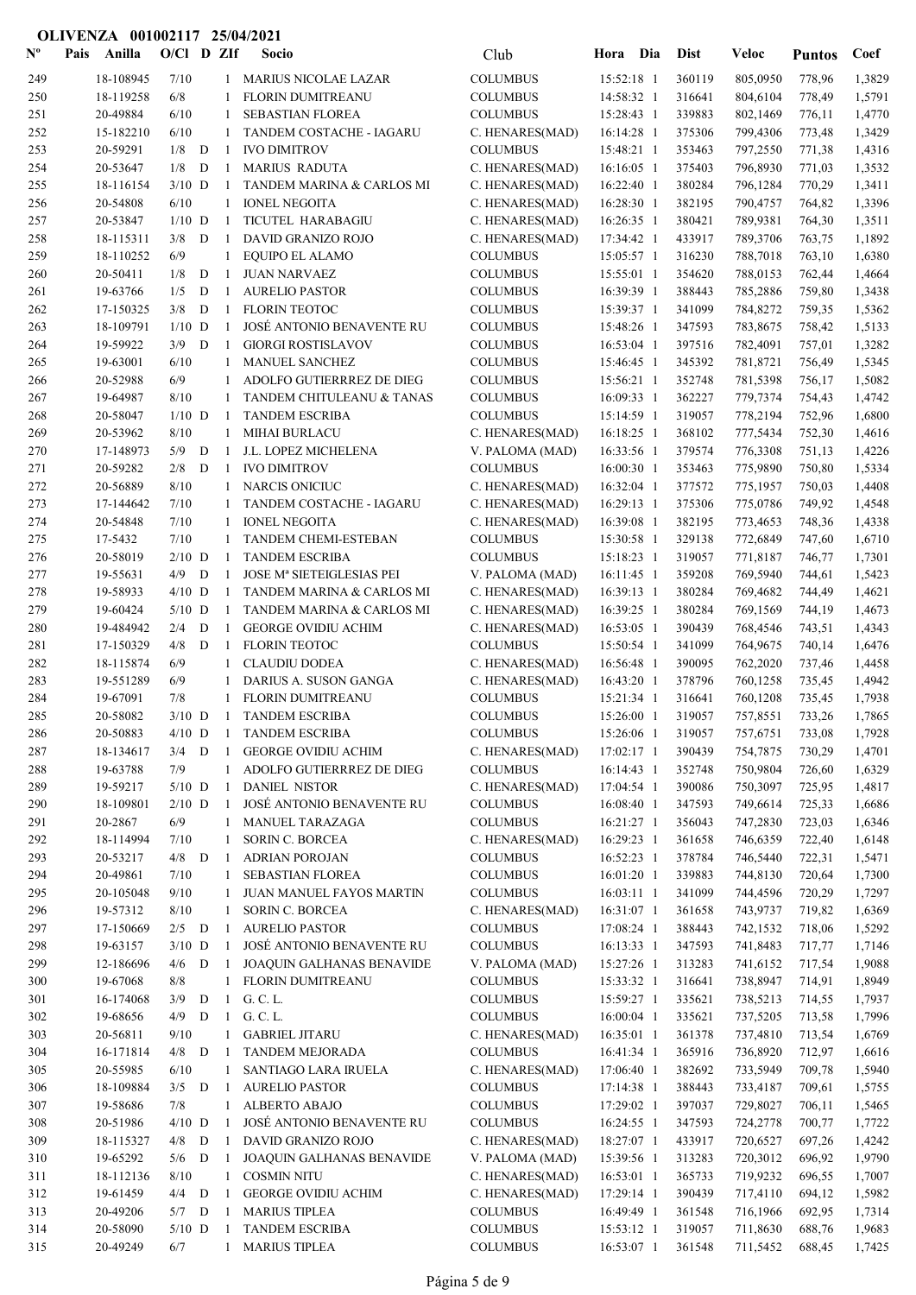| $\mathbf{N}^{\mathbf{o}}$ | Pais | Anilla                | $O/CI$ D ZIf    |   |                | Socio                                      | Club                               | Hora                     | Dia | <b>Dist</b>       | Veloc                | <b>Puntos</b>    | Coef             |
|---------------------------|------|-----------------------|-----------------|---|----------------|--------------------------------------------|------------------------------------|--------------------------|-----|-------------------|----------------------|------------------|------------------|
| 249                       |      | 18-108945             | 7/10            |   | $\mathbf{1}$   | <b>MARIUS NICOLAE LAZAR</b>                | <b>COLUMBUS</b>                    | 15:52:18 1               |     | 360119            | 805,0950             | 778,96           | 1,3829           |
| 250                       |      | 18-119258             | 6/8             |   | 1              | <b>FLORIN DUMITREANU</b>                   | <b>COLUMBUS</b>                    | 14:58:32 1               |     | 316641            | 804,6104             | 778,49           | 1,5791           |
| 251                       |      | 20-49884              | 6/10            |   | -1             | <b>SEBASTIAN FLOREA</b>                    | <b>COLUMBUS</b>                    | 15:28:43 1               |     | 339883            | 802,1469             | 776,11           | 1,4770           |
| 252                       |      | 15-182210             | 6/10            |   | -1             | TANDEM COSTACHE - IAGARU                   | C. HENARES(MAD)                    | 16:14:28 1               |     | 375306            | 799,4306             | 773,48           | 1,3429           |
| 253                       |      | 20-59291              | 1/8             | D | $\mathbf{1}$   | <b>IVO DIMITROV</b>                        | <b>COLUMBUS</b>                    | 15:48:21 1               |     | 353463            | 797,2550             | 771,38           | 1,4316           |
| 254                       |      | 20-53647              | 1/8             | D | -1             | <b>MARIUS RADUTA</b>                       | C. HENARES(MAD)                    | 16:16:05 1               |     | 375403            | 796,8930             | 771,03           | 1,3532           |
| 255                       |      | 18-116154             | $3/10$ D        |   | -1             | TANDEM MARINA & CARLOS MI                  | C. HENARES(MAD)                    | 16:22:40 1               |     | 380284            | 796,1284             | 770,29           | 1,3411           |
| 256                       |      | 20-54808              | 6/10            |   | $\mathbf{1}$   | <b>IONEL NEGOITA</b>                       | C. HENARES(MAD)                    | 16:28:30 1               |     | 382195            | 790,4757             | 764,82           | 1,3396           |
| 257                       |      | 20-53847              | $1/10$ D        |   | $\mathbf{1}$   | TICUTEL HARABAGIU                          | C. HENARES(MAD)                    | 16:26:35 1               |     | 380421            | 789,9381             | 764,30           | 1,3511           |
| 258                       |      | 18-115311             | 3/8             | D | $\mathbf{1}$   | DAVID GRANIZO ROJO                         | C. HENARES(MAD)                    | 17:34:42 1               |     | 433917            | 789,3706             | 763,75           | 1,1892           |
| 259                       |      | 18-110252             | 6/9             |   | 1              | EQUIPO EL ALAMO                            | <b>COLUMBUS</b>                    | 15:05:57 1               |     | 316230            | 788,7018             | 763,10           | 1,6380           |
| 260                       |      | 20-50411              | 1/8             | D | -1             | <b>JUAN NARVAEZ</b>                        | <b>COLUMBUS</b>                    | 15:55:01 1               |     | 354620            | 788,0153             | 762,44           | 1,4664           |
| 261                       |      | 19-63766              | 1/5             | D | -1             | <b>AURELIO PASTOR</b>                      | <b>COLUMBUS</b>                    | 16:39:39 1               |     | 388443            | 785,2886             | 759,80           | 1,3438           |
| 262                       |      | 17-150325             | 3/8             | D | -1             | <b>FLORIN TEOTOC</b>                       | <b>COLUMBUS</b>                    | 15:39:37 1               |     | 341099            | 784,8272             | 759,35           | 1,5362           |
| 263                       |      | 18-109791             | $1/10$ D        |   | $\mathbf{1}$   | JOSÉ ANTONIO BENAVENTE RU                  | <b>COLUMBUS</b>                    | 15:48:26 1               |     | 347593            | 783,8675             | 758,42           | 1,5133           |
| 264                       |      | 19-59922              | 3/9             | D | -1             | <b>GIORGI ROSTISLAVOV</b>                  | <b>COLUMBUS</b>                    | 16:53:04 1               |     | 397516            | 782,4091             | 757,01           | 1,3282           |
| 265                       |      | 19-63001              | 6/10            |   | -1             | <b>MANUEL SANCHEZ</b>                      | <b>COLUMBUS</b>                    | 15:46:45 1               |     | 345392            | 781,8721             | 756,49           | 1,5345           |
| 266                       |      | 20-52988              | 6/9             |   | 1              | ADOLFO GUTIERRREZ DE DIEG                  | <b>COLUMBUS</b>                    | 15:56:21 1               |     | 352748            | 781,5398             | 756,17           | 1,5082           |
| 267                       |      | 19-64987              | 8/10            |   | -1             | TANDEM CHITULEANU & TANAS                  | <b>COLUMBUS</b>                    | 16:09:33 1               |     | 362227            | 779,7374             | 754,43           | 1,4742           |
| 268                       |      | 20-58047              | $1/10$ D        |   | -1             | <b>TANDEM ESCRIBA</b>                      | <b>COLUMBUS</b>                    | 15:14:59 1               |     | 319057            | 778,2194             | 752,96           | 1,6800           |
| 269                       |      | 20-53962              | 8/10            |   | 1              | <b>MIHAI BURLACU</b>                       | C. HENARES(MAD)                    | 16:18:25 1               |     | 368102            | 777,5434             | 752,30           | 1,4616           |
| 270                       |      | 17-148973             | 5/9             | D | $\overline{1}$ | J.L. LOPEZ MICHELENA                       | V. PALOMA (MAD)                    | 16:33:56 1               |     | 379574            | 776,3308             | 751,13           | 1,4226           |
| 271                       |      | 20-59282              | 2/8             | D | -1             | <b>IVO DIMITROV</b>                        | <b>COLUMBUS</b>                    | 16:00:30 1               |     | 353463            | 775,9890             | 750,80           | 1,5334           |
| 272                       |      | 20-56889              | 8/10            |   | -1             | <b>NARCIS ONICIUC</b>                      | C. HENARES(MAD)                    | 16:32:04 1               |     | 377572            | 775,1957             | 750,03           | 1,4408           |
| 273                       |      | 17-144642             | 7/10            |   | -1             | TANDEM COSTACHE - IAGARU                   | C. HENARES(MAD)                    | 16:29:13 1               |     | 375306            | 775,0786             | 749,92           | 1,4548           |
| 274                       |      | 20-54848              | 7/10            |   | -1             | <b>IONEL NEGOITA</b>                       | C. HENARES(MAD)                    | 16:39:08 1               |     | 382195            | 773,4653             | 748,36           | 1,4338           |
| 275                       |      | 17-5432               | 7/10            |   | -1             | <b>TANDEM CHEMI-ESTEBAN</b>                | <b>COLUMBUS</b>                    | 15:30:58 1               |     | 329138            | 772,6849             | 747,60           | 1,6710           |
| 276                       |      | 20-58019              | $2/10$ D        |   | -1             | <b>TANDEM ESCRIBA</b>                      | <b>COLUMBUS</b>                    | 15:18:23 1               |     | 319057            | 771,8187             | 746,77           | 1,7301           |
| 277                       |      | 19-55631              | 4/9             | D | -1             | JOSE Mª SIETEIGLESIAS PEI                  | V. PALOMA (MAD)                    | 16:11:45 1               |     | 359208            | 769,5940             | 744,61           | 1,5423           |
| 278                       |      | 19-58933              | $4/10$ D        |   | -1             | TANDEM MARINA & CARLOS MI                  | C. HENARES(MAD)                    | 16:39:13 1               |     | 380284            | 769,4682             | 744,49           | 1,4621           |
| 279                       |      | 19-60424              | $5/10$ D        |   | -1             | TANDEM MARINA & CARLOS MI                  | C. HENARES(MAD)                    | 16:39:25 1               |     | 380284            | 769,1569             | 744,19           | 1,4673           |
| 280                       |      | 19-484942             | 2/4             | D | $\mathbf{1}$   | <b>GEORGE OVIDIU ACHIM</b>                 | C. HENARES(MAD)                    | 16:53:05 1               |     | 390439            | 768,4546             | 743,51           | 1,4343           |
| 281                       |      | 17-150329             | 4/8             | D | $\mathbf{1}$   | <b>FLORIN TEOTOC</b>                       | <b>COLUMBUS</b>                    | 15:50:54 1               |     | 341099            | 764,9675             | 740,14           | 1,6476           |
| 282                       |      | 18-115874             | 6/9             |   | 1              | <b>CLAUDIU DODEA</b>                       | C. HENARES(MAD)                    | 16:56:48 1               |     | 390095            | 762,2020             | 737,46           | 1,4458           |
| 283                       |      | 19-551289             | 6/9             |   | 1              | DARIUS A. SUSON GANGA                      | C. HENARES(MAD)                    | 16:43:20 1               |     | 378796            | 760,1258             | 735,45           | 1,4942           |
| 284<br>285                |      | 19-67091<br>20-58082  | 7/8<br>$3/10$ D |   | $\mathbf{1}$   | FLORIN DUMITREANU<br><b>TANDEM ESCRIBA</b> | <b>COLUMBUS</b><br><b>COLUMBUS</b> | 15:21:34 1<br>15:26:00 1 |     | 316641<br>319057  | 760,1208<br>757,8551 | 735,45<br>733,26 | 1,7938<br>1,7865 |
| 286                       |      | 20-50883              |                 |   | $\mathbf{1}$   | 4/10 D 1 TANDEM ESCRIBA                    | <b>COLUMBUS</b>                    |                          |     | 15:26:06 1 319057 | 757,6751             | 733,08           | 1,7928           |
|                           |      |                       |                 |   | -1             | <b>GEORGE OVIDIU ACHIM</b>                 |                                    | 17:02:17 1               |     |                   | 754,7875             |                  |                  |
| 287<br>288                |      | 18-134617<br>19-63788 | $3/4$ D<br>7/9  |   | $\mathbf{1}$   | ADOLFO GUTIERRREZ DE DIEG                  | C. HENARES(MAD)<br><b>COLUMBUS</b> | $16:14:43$ 1             |     | 390439<br>352748  | 750,9804             | 730,29<br>726,60 | 1,4701<br>1,6329 |
| 289                       |      | 19-59217              | $5/10$ D        |   | -1             | <b>DANIEL NISTOR</b>                       | C. HENARES(MAD)                    | 17:04:54 1               |     | 390086            | 750,3097             | 725,95           | 1,4817           |
| 290                       |      | 18-109801             | $2/10$ D        |   | -1             | JOSÉ ANTONIO BENAVENTE RU                  | <b>COLUMBUS</b>                    | 16:08:40 1               |     | 347593            | 749,6614             | 725,33           | 1,6686           |
| 291                       |      | 20-2867               | 6/9             |   | 1              | <b>MANUEL TARAZAGA</b>                     | <b>COLUMBUS</b>                    | 16:21:27 1               |     | 356043            | 747,2830             | 723,03           | 1,6346           |
| 292                       |      | 18-114994             | 7/10            |   | 1              | <b>SORIN C. BORCEA</b>                     | C. HENARES(MAD)                    | 16:29:23 1               |     | 361658            | 746,6359             | 722,40           | 1,6148           |
| 293                       |      | 20-53217              | $4/8$ D         |   | -1             | <b>ADRIAN POROJAN</b>                      | <b>COLUMBUS</b>                    | 16:52:23 1               |     | 378784            | 746,5440             | 722,31           | 1,5471           |
| 294                       |      | 20-49861              | 7/10            |   | 1              | <b>SEBASTIAN FLOREA</b>                    | <b>COLUMBUS</b>                    | 16:01:20 1               |     | 339883            | 744,8130             | 720,64           | 1,7300           |
| 295                       |      | 20-105048             | 9/10            |   | 1              | <b>JUAN MANUEL FAYOS MARTIN</b>            | <b>COLUMBUS</b>                    | $16:03:11$ 1             |     | 341099            | 744,4596             | 720,29           | 1,7297           |
| 296                       |      | 19-57312              | 8/10            |   | -1             | <b>SORIN C. BORCEA</b>                     | C. HENARES(MAD)                    | 16:31:07 1               |     | 361658            | 743,9737             | 719,82           | 1,6369           |
| 297                       |      | 17-150669             | $2/5$ D         |   | -1             | <b>AURELIO PASTOR</b>                      | <b>COLUMBUS</b>                    | 17:08:24 1               |     | 388443            | 742,1532             | 718,06           | 1,5292           |
| 298                       |      | 19-63157              | $3/10$ D        |   | -1             | JOSÉ ANTONIO BENAVENTE RU                  | <b>COLUMBUS</b>                    | 16:13:33 1               |     | 347593            | 741,8483             | 717,77           | 1,7146           |
| 299                       |      | 12-186696             | $4/6$ D         |   | -1             | JOAQUIN GALHANAS BENAVIDE                  | V. PALOMA (MAD)                    | 15:27:26 1               |     | 313283            | 741,6152             | 717,54           | 1,9088           |
| 300                       |      | 19-67068              | 8/8             |   | 1              | FLORIN DUMITREANU                          | <b>COLUMBUS</b>                    | 15:33:32 1               |     | 316641            | 738,8947             | 714,91           | 1,8949           |
| 301                       |      | 16-174068             | 3/9             | D | -1             | G. C. L.                                   | <b>COLUMBUS</b>                    | 15:59:27 1               |     | 335621            | 738,5213             | 714,55           | 1,7937           |
| 302                       |      | 19-68656              | 4/9             | D | 1              | G. C. L.                                   | <b>COLUMBUS</b>                    | 16:00:04 1               |     | 335621            | 737,5205             | 713,58           | 1,7996           |
| 303                       |      | 20-56811              | 9/10            |   | 1              | <b>GABRIEL JITARU</b>                      | C. HENARES(MAD)                    | 16:35:01 1               |     | 361378            | 737,4810             | 713,54           | 1,6769           |
| 304                       |      | 16-171814             | $4/8$ D         |   | -1             | <b>TANDEM MEJORADA</b>                     | <b>COLUMBUS</b>                    | 16:41:34 1               |     | 365916            | 736,8920             | 712,97           | 1,6616           |
| 305                       |      | 20-55985              | 6/10            |   | 1              | SANTIAGO LARA IRUELA                       | C. HENARES(MAD)                    | 17:06:40 1               |     | 382692            | 733,5949             | 709,78           | 1,5940           |
| 306                       |      | 18-109884             | $3/5$ D         |   | -1             | <b>AURELIO PASTOR</b>                      | <b>COLUMBUS</b>                    | 17:14:38 1               |     | 388443            | 733,4187             | 709,61           | 1,5755           |
| 307                       |      | 19-58686              | 7/8             |   | 1              | ALBERTO ABAJO                              | <b>COLUMBUS</b>                    | 17:29:02 1               |     | 397037            | 729,8027             | 706,11           | 1,5465           |
| 308                       |      | 20-51986              | $4/10$ D        |   | -1             | JOSÉ ANTONIO BENAVENTE RU                  | <b>COLUMBUS</b>                    | 16:24:55 1               |     | 347593            | 724,2778             | 700,77           | 1,7722           |
| 309                       |      | 18-115327             | 4/8             | D | -1             | DAVID GRANIZO ROJO                         | C. HENARES(MAD)                    | 18:27:07 1               |     | 433917            | 720,6527             | 697,26           | 1,4242           |
| 310                       |      | 19-65292              | $5/6$ D         |   | -1             | JOAQUIN GALHANAS BENAVIDE                  | V. PALOMA (MAD)                    | 15:39:56 1               |     | 313283            | 720,3012             | 696,92           | 1,9790           |
| 311                       |      | 18-112136             | 8/10            |   | $\mathbf{1}$   | <b>COSMIN NITU</b>                         | C. HENARES(MAD)                    | 16:53:01 1               |     | 365733            | 719,9232             | 696,55           | 1,7007           |
| 312                       |      | 19-61459              | $4/4$ D         |   | -1             | <b>GEORGE OVIDIU ACHIM</b>                 | C. HENARES(MAD)                    | 17:29:14 1               |     | 390439            | 717,4110             | 694,12           | 1,5982           |
| 313                       |      | 20-49206              | $5/7$ D         |   | -1             | <b>MARIUS TIPLEA</b>                       | <b>COLUMBUS</b>                    | 16:49:49 1               |     | 361548            | 716,1966             | 692,95           | 1,7314           |
| 314                       |      | 20-58090              | $5/10$ D        |   | -1             | <b>TANDEM ESCRIBA</b>                      | <b>COLUMBUS</b>                    | 15:53:12 1               |     | 319057            | 711,8630             | 688,76           | 1,9683           |
| 315                       |      | 20-49249              | 6/7             |   | $\mathbf{1}$   | <b>MARIUS TIPLEA</b>                       | <b>COLUMBUS</b>                    | 16:53:07 1               |     | 361548            | 711,5452             | 688,45           | 1,7425           |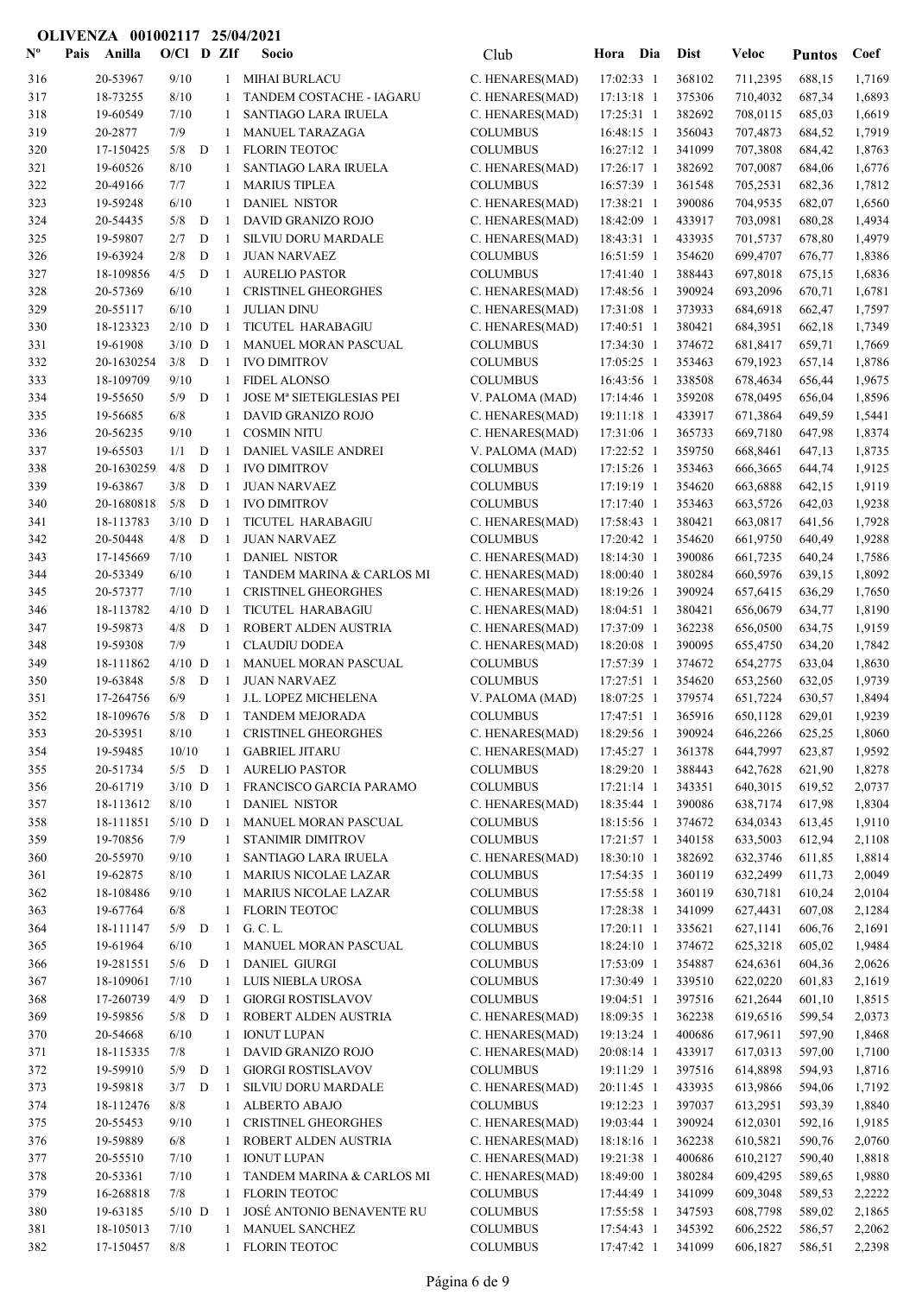| $\mathbf{N}^{\mathbf{o}}$ | Pais | Anilla                | $O/Cl$ D ZIf    |   |              | Socio                                    | Club                               | Hora Dia                 | <b>Dist</b>      | Veloc                | <b>Puntos</b>    | Coef             |
|---------------------------|------|-----------------------|-----------------|---|--------------|------------------------------------------|------------------------------------|--------------------------|------------------|----------------------|------------------|------------------|
| 316                       |      | 20-53967              | 9/10            |   |              | 1 MIHAI BURLACU                          | C. HENARES(MAD)                    | 17:02:33 1               | 368102           | 711,2395             | 688,15           | 1,7169           |
| 317                       |      | 18-73255              | 8/10            |   | 1            | TANDEM COSTACHE - IAGARU                 | C. HENARES(MAD)                    | 17:13:18 1               | 375306           | 710,4032             | 687,34           | 1,6893           |
| 318                       |      | 19-60549              | 7/10            |   | 1            | <b>SANTIAGO LARA IRUELA</b>              | C. HENARES(MAD)                    | 17:25:31 1               | 382692           | 708,0115             | 685,03           | 1,6619           |
| 319                       |      | 20-2877               | 7/9             |   | 1            | MANUEL TARAZAGA                          | <b>COLUMBUS</b>                    | $16:48:15$ 1             | 356043           | 707,4873             | 684,52           | 1,7919           |
| 320                       |      | 17-150425             | 5/8             | D | -1           | <b>FLORIN TEOTOC</b>                     | <b>COLUMBUS</b>                    | 16:27:12 1               | 341099           | 707,3808             | 684,42           | 1,8763           |
| 321                       |      | 19-60526              | 8/10            |   | 1            | SANTIAGO LARA IRUELA                     | C. HENARES(MAD)                    | 17:26:17 1               | 382692           | 707,0087             | 684,06           | 1,6776           |
| 322                       |      | 20-49166              | 7/7             |   | 1            | <b>MARIUS TIPLEA</b>                     | <b>COLUMBUS</b>                    | 16:57:39 1               | 361548           | 705,2531             | 682,36           | 1,7812           |
| 323                       |      | 19-59248              | 6/10            |   | 1            | <b>DANIEL NISTOR</b>                     | C. HENARES(MAD)                    | 17:38:21 1               | 390086           | 704,9535             | 682,07           | 1,6560           |
| 324                       |      | 20-54435              | 5/8             | D | $\mathbf{1}$ | DAVID GRANIZO ROJO                       | C. HENARES(MAD)                    | 18:42:09 1               | 433917           | 703,0981             | 680,28           | 1,4934           |
| 325                       |      | 19-59807              | 2/7             | D | -1           | <b>SILVIU DORU MARDALE</b>               | C. HENARES(MAD)                    | 18:43:31 1               | 433935           | 701,5737             | 678,80           | 1,4979           |
| 326                       |      | 19-63924              | 2/8             | D | -1           | <b>JUAN NARVAEZ</b>                      | <b>COLUMBUS</b>                    | 16:51:59 1               | 354620           | 699,4707             | 676,77           | 1,8386           |
| 327                       |      | 18-109856             | 4/5             | D | -1           | <b>AURELIO PASTOR</b>                    | <b>COLUMBUS</b>                    | 17:41:40 1               | 388443           | 697,8018             | 675,15           | 1,6836           |
| 328                       |      | 20-57369              | 6/10            |   | 1            | <b>CRISTINEL GHEORGHES</b>               | C. HENARES(MAD)                    | 17:48:56 1               | 390924           | 693,2096             | 670,71           | 1,6781           |
| 329                       |      | 20-55117              | 6/10            |   | 1            | <b>JULIAN DINU</b>                       | C. HENARES(MAD)                    | 17:31:08 1               | 373933           | 684,6918             | 662,47           | 1,7597           |
| 330                       |      | 18-123323             | $2/10$ D        |   | -1           | TICUTEL HARABAGIU                        | C. HENARES(MAD)                    | 17:40:51 1               | 380421           | 684,3951             | 662,18           | 1,7349           |
| 331                       |      | 19-61908              | $3/10$ D        |   | -1           | MANUEL MORAN PASCUAL                     | <b>COLUMBUS</b>                    | 17:34:30 1               | 374672           | 681,8417             | 659,71           | 1,7669           |
| 332                       |      | 20-1630254            | 3/8             | D | -1           | <b>IVO DIMITROV</b>                      | <b>COLUMBUS</b>                    | 17:05:25 1               | 353463           | 679,1923             | 657,14           | 1,8786           |
| 333                       |      | 18-109709             | 9/10            |   | 1            | <b>FIDEL ALONSO</b>                      | <b>COLUMBUS</b>                    | 16:43:56 1               | 338508           | 678,4634             | 656,44           | 1,9675           |
| 334                       |      | 19-55650              | 5/9             | D | -1           | JOSE Mª SIETEIGLESIAS PEI                | V. PALOMA (MAD)                    | 17:14:46 1               | 359208           | 678,0495             | 656,04           | 1,8596           |
| 335                       |      | 19-56685              | 6/8             |   | 1            | DAVID GRANIZO ROJO                       | C. HENARES(MAD)                    | 19:11:18 1               | 433917           | 671,3864             | 649,59           | 1,5441           |
| 336                       |      | 20-56235              | 9/10            |   | $\mathbf{1}$ | <b>COSMIN NITU</b>                       | C. HENARES(MAD)                    | 17:31:06 1               | 365733           | 669,7180             | 647,98           | 1,8374           |
| 337                       |      | 19-65503              | 1/1             | D | -1           | DANIEL VASILE ANDREI                     | V. PALOMA (MAD)                    | 17:22:52 1               | 359750           | 668,8461             | 647,13           | 1,8735           |
| 338                       |      | 20-1630259            | 4/8             | D | -1           | <b>IVO DIMITROV</b>                      | <b>COLUMBUS</b>                    | 17:15:26 1               | 353463           | 666,3665             | 644,74           | 1,9125           |
| 339                       |      | 19-63867              | 3/8<br>5/8      | D | 1            | <b>JUAN NARVAEZ</b>                      | <b>COLUMBUS</b>                    | 17:19:19 1               | 354620           | 663,6888             | 642,15           | 1,9119           |
| 340                       |      | 20-1680818            |                 | D | 1            | <b>IVO DIMITROV</b>                      | <b>COLUMBUS</b>                    | 17:17:40 1               | 353463           | 663,5726             | 642,03           | 1,9238           |
| 341<br>342                |      | 18-113783<br>20-50448 | $3/10$ D<br>4/8 | D | -1<br>-1     | TICUTEL HARABAGIU<br><b>JUAN NARVAEZ</b> | C. HENARES(MAD)<br><b>COLUMBUS</b> | 17:58:43 1<br>17:20:42 1 | 380421<br>354620 | 663,0817<br>661,9750 | 641,56<br>640,49 | 1,7928<br>1,9288 |
| 343                       |      | 17-145669             | 7/10            |   | 1            | <b>DANIEL NISTOR</b>                     | C. HENARES(MAD)                    | 18:14:30 1               | 390086           | 661,7235             | 640,24           | 1,7586           |
| 344                       |      | 20-53349              | 6/10            |   | 1            | TANDEM MARINA & CARLOS MI                | C. HENARES(MAD)                    | 18:00:40 1               | 380284           | 660,5976             | 639,15           | 1,8092           |
| 345                       |      | 20-57377              | 7/10            |   | 1            | <b>CRISTINEL GHEORGHES</b>               | C. HENARES(MAD)                    | 18:19:26 1               | 390924           | 657,6415             | 636,29           | 1,7650           |
| 346                       |      | 18-113782             | $4/10$ D        |   | -1           | TICUTEL HARABAGIU                        | C. HENARES(MAD)                    | $18:04:51$ 1             | 380421           | 656,0679             | 634,77           | 1,8190           |
| 347                       |      | 19-59873              | 4/8             | D | -1           | ROBERT ALDEN AUSTRIA                     | C. HENARES(MAD)                    | 17:37:09 1               | 362238           | 656,0500             | 634,75           | 1,9159           |
| 348                       |      | 19-59308              | 7/9             |   | 1            | <b>CLAUDIU DODEA</b>                     | C. HENARES(MAD)                    | 18:20:08 1               | 390095           | 655,4750             | 634,20           | 1,7842           |
| 349                       |      | 18-111862             | $4/10$ D        |   | 1            | MANUEL MORAN PASCUAL                     | <b>COLUMBUS</b>                    | 17:57:39 1               | 374672           | 654,2775             | 633,04           | 1,8630           |
| 350                       |      | 19-63848              | 5/8             | D | -1           | <b>JUAN NARVAEZ</b>                      | <b>COLUMBUS</b>                    | 17:27:51 1               | 354620           | 653,2560             | 632,05           | 1,9739           |
| 351                       |      | 17-264756             | 6/9             |   | -1           | J.L. LOPEZ MICHELENA                     | V. PALOMA (MAD)                    | 18:07:25 1               | 379574           | 651,7224             | 630,57           | 1,8494           |
| 352                       |      | 18-109676             | 5/8             | D | -1           | <b>TANDEM MEJORADA</b>                   | <b>COLUMBUS</b>                    | 17:47:51 1               | 365916           | 650,1128             | 629,01           | 1,9239           |
| 353                       |      | 20-53951              | $8/10$          |   |              | 1 CRISTINEL GHEORGHES                    | C. HENARES(MAD) 18:29:56 1         |                          | 390924           | 646,2266 625,25      |                  | 1,8060           |
| 354                       |      | 19-59485              | 10/10           |   | 1            | <b>GABRIEL JITARU</b>                    | C. HENARES(MAD)                    | 17:45:27 1               | 361378           | 644,7997             | 623,87           | 1,9592           |
| 355                       |      | 20-51734              | $5/5$ D         |   | -1           | <b>AURELIO PASTOR</b>                    | <b>COLUMBUS</b>                    | 18:29:20 1               | 388443           | 642,7628             | 621,90           | 1,8278           |
| 356                       |      | 20-61719              | $3/10$ D        |   | -1           | FRANCISCO GARCIA PARAMO                  | <b>COLUMBUS</b>                    | $17:21:14$ 1             | 343351           | 640,3015             | 619,52           | 2,0737           |
| 357                       |      | 18-113612             | 8/10            |   | 1            | <b>DANIEL NISTOR</b>                     | C. HENARES(MAD)                    | 18:35:44 1               | 390086           | 638,7174             | 617,98           | 1,8304           |
| 358                       |      | 18-111851             | $5/10$ D        |   | -1           | MANUEL MORAN PASCUAL                     | <b>COLUMBUS</b>                    | 18:15:56 1               | 374672           | 634,0343             | 613,45           | 1,9110           |
| 359                       |      | 19-70856              | 7/9             |   | 1            | <b>STANIMIR DIMITROV</b>                 | <b>COLUMBUS</b>                    | 17:21:57 1               | 340158           | 633,5003             | 612,94           | 2,1108           |
| 360                       |      | 20-55970              | 9/10            |   |              | SANTIAGO LARA IRUELA                     | C. HENARES(MAD)                    | 18:30:10 1               | 382692           | 632,3746             | 611,85           | 1,8814           |
| 361                       |      | 19-62875              | 8/10            |   | 1            | <b>MARIUS NICOLAE LAZAR</b>              | <b>COLUMBUS</b>                    | 17:54:35 1               | 360119           | 632,2499             | 611,73           | 2,0049           |
| 362                       |      | 18-108486             | 9/10            |   | 1            | <b>MARIUS NICOLAE LAZAR</b>              | <b>COLUMBUS</b>                    | 17:55:58 1               | 360119           | 630,7181             | 610,24           | 2,0104           |
| 363                       |      | 19-67764              | 6/8             |   | 1            | <b>FLORIN TEOTOC</b>                     | <b>COLUMBUS</b>                    | 17:28:38 1               | 341099           | 627,4431             | 607,08           | 2,1284           |
| 364                       |      | 18-111147             | $5/9$ D         |   | -1           | G. C. L.                                 | <b>COLUMBUS</b>                    | 17:20:11 1               | 335621           | 627,1141             | 606,76           | 2,1691           |
| 365                       |      | 19-61964              | 6/10            |   | 1            | MANUEL MORAN PASCUAL                     | <b>COLUMBUS</b>                    | 18:24:10 1               | 374672           | 625,3218             | 605,02           | 1,9484           |
| 366                       |      | 19-281551             | $5/6$ D         |   | -1           | <b>DANIEL GIURGI</b>                     | <b>COLUMBUS</b>                    | 17:53:09 1               | 354887           | 624,6361             | 604,36           | 2,0626           |
| 367                       |      | 18-109061             | 7/10            |   | 1            | LUIS NIEBLA UROSA                        | <b>COLUMBUS</b>                    | 17:30:49 1               | 339510           | 622,0220             | 601,83           | 2,1619           |
| 368                       |      | 17-260739             | 4/9             | D | -1           | <b>GIORGI ROSTISLAVOV</b>                | <b>COLUMBUS</b>                    | 19:04:51 1               | 397516           | 621,2644             | 601,10           | 1,8515           |
| 369                       |      | 19-59856              | 5/8             | D | -1           | ROBERT ALDEN AUSTRIA                     | C. HENARES(MAD)                    | 18:09:35 1               | 362238           | 619,6516             | 599,54           | 2,0373           |
| 370                       |      | 20-54668              | 6/10            |   | 1            | <b>IONUT LUPAN</b>                       | C. HENARES(MAD)                    | 19:13:24 1               | 400686           | 617,9611             | 597,90           | 1,8468           |
| 371                       |      | 18-115335             | 7/8             |   | 1            | DAVID GRANIZO ROJO                       | C. HENARES(MAD)                    | 20:08:14 1               | 433917           | 617,0313             | 597,00           | 1,7100           |
| 372                       |      | 19-59910              | 5/9             | D | -1           | <b>GIORGI ROSTISLAVOV</b>                | <b>COLUMBUS</b>                    | 19:11:29 1               | 397516           | 614,8898             | 594,93           | 1,8716           |
| 373                       |      | 19-59818              | 3/7             | D | -1           | SILVIU DORU MARDALE                      | C. HENARES(MAD)                    | 20:11:45 1               | 433935           | 613,9866             | 594,06           | 1,7192           |
| 374                       |      | 18-112476             | 8/8             |   | 1            | <b>ALBERTO ABAJO</b>                     | <b>COLUMBUS</b>                    | 19:12:23 1               | 397037           | 613,2951             | 593,39           | 1,8840           |
| 375                       |      | 20-55453              | 9/10            |   | 1            | CRISTINEL GHEORGHES                      | C. HENARES(MAD)                    | 19:03:44 1               | 390924           | 612,0301             | 592,16           | 1,9185           |
| 376                       |      | 19-59889              | 6/8             |   | 1            | ROBERT ALDEN AUSTRIA                     | C. HENARES(MAD)                    | 18:18:16 1               | 362238           | 610,5821             | 590,76           | 2,0760           |
| 377                       |      | 20-55510              | 7/10            |   | 1            | <b>IONUT LUPAN</b>                       | C. HENARES(MAD)                    | 19:21:38 1               | 400686           | 610,2127             | 590,40           | 1,8818           |
| 378                       |      | 20-53361              | 7/10            |   | 1            | TANDEM MARINA & CARLOS MI                | C. HENARES(MAD)                    | 18:49:00 1               | 380284           | 609,4295             | 589,65           | 1,9880           |
| 379                       |      | 16-268818             | 7/8             |   | 1            | <b>FLORIN TEOTOC</b>                     | <b>COLUMBUS</b>                    | 17:44:49 1               | 341099           | 609,3048             | 589,53           | 2,2222           |
| 380                       |      | 19-63185              | $5/10$ D        |   | -1           | JOSÉ ANTONIO BENAVENTE RU                | <b>COLUMBUS</b>                    | 17:55:58 1               | 347593           | 608,7798             | 589,02           | 2,1865           |
| 381                       |      | 18-105013             | 7/10            |   | 1            | MANUEL SANCHEZ                           | <b>COLUMBUS</b>                    | 17:54:43 1               | 345392           | 606,2522             | 586,57           | 2,2062           |
| 382                       |      | 17-150457             | 8/8             |   | 1            | <b>FLORIN TEOTOC</b>                     | <b>COLUMBUS</b>                    | 17:47:42 1               | 341099           | 606,1827             | 586,51           | 2,2398           |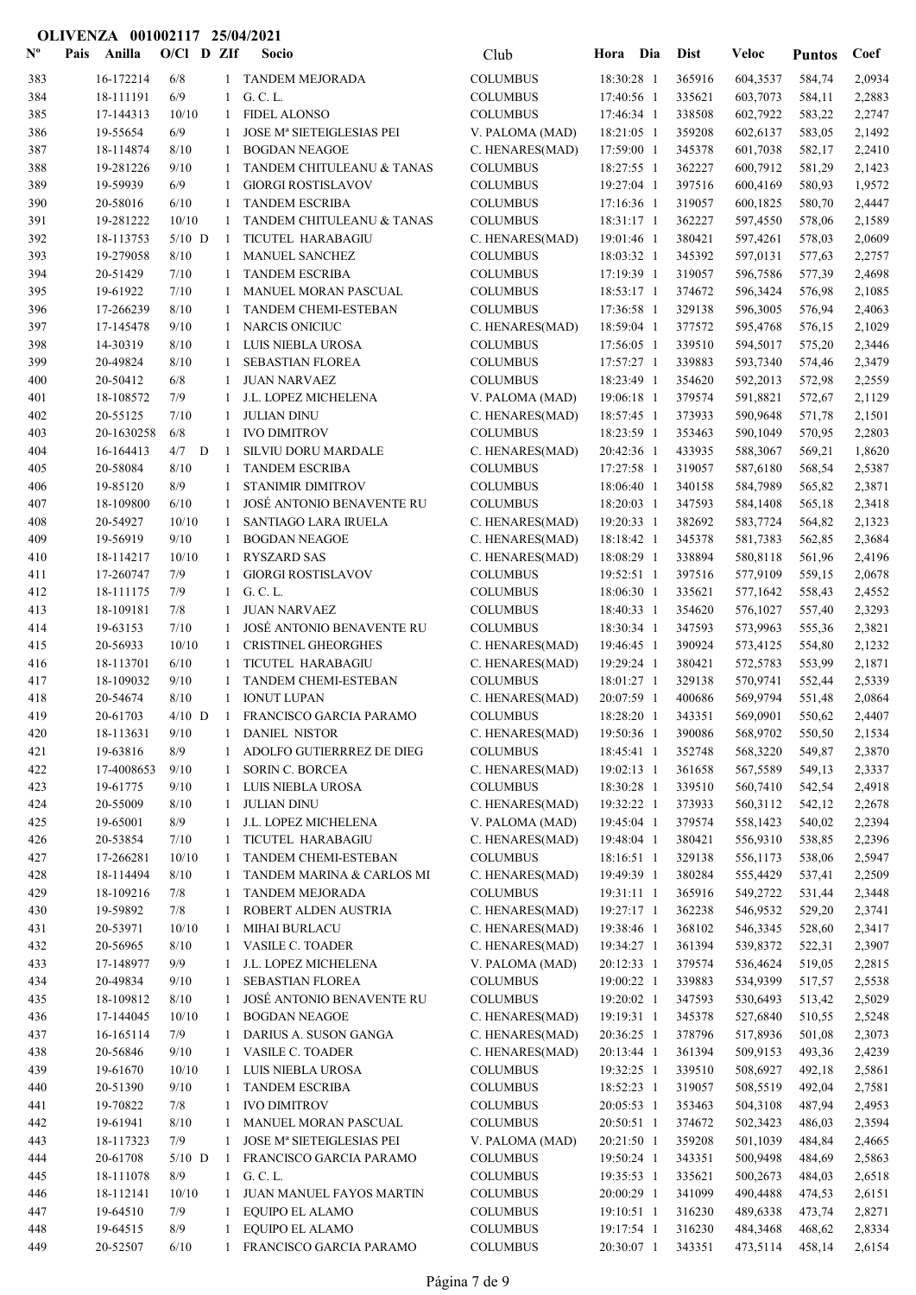| $\mathbf{N}^{\mathbf{o}}$ | Pais | Anilla                 | $O/CI$ D ZIf      |   |              | Socio                                                 | Club                               | Hora Dia                 |            | <b>Dist</b>      | Veloc                | <b>Puntos</b>    | Coef             |
|---------------------------|------|------------------------|-------------------|---|--------------|-------------------------------------------------------|------------------------------------|--------------------------|------------|------------------|----------------------|------------------|------------------|
| 383                       |      | 16-172214              | 6/8               |   |              | 1 TANDEM MEJORADA                                     | <b>COLUMBUS</b>                    | 18:30:28 1               |            | 365916           | 604,3537             | 584,74           | 2,0934           |
| 384                       |      | 18-111191              | 6/9               |   | -1           | G. C. L.                                              | <b>COLUMBUS</b>                    | 17:40:56 1               |            | 335621           | 603,7073             | 584,11           | 2,2883           |
| 385                       |      | 17-144313              | 10/10             |   | 1            | <b>FIDEL ALONSO</b>                                   | <b>COLUMBUS</b>                    | 17:46:34 1               |            | 338508           | 602,7922             | 583,22           | 2,2747           |
| 386                       |      | 19-55654               | 6/9               |   | -1           | JOSE Mª SIETEIGLESIAS PEI                             | V. PALOMA (MAD)                    | 18:21:05 1               |            | 359208           | 602,6137             | 583,05           | 2,1492           |
| 387                       |      | 18-114874              | 8/10              |   | -1           | <b>BOGDAN NEAGOE</b>                                  | C. HENARES(MAD)                    | 17:59:00 1               |            | 345378           | 601,7038             | 582,17           | 2,2410           |
| 388                       |      | 19-281226              | 9/10              |   | -1           | TANDEM CHITULEANU & TANAS                             | <b>COLUMBUS</b>                    | 18:27:55 1               |            | 362227           | 600,7912             | 581,29           | 2,1423           |
| 389                       |      | 19-59939               | 6/9               |   | 1            | <b>GIORGI ROSTISLAVOV</b>                             | <b>COLUMBUS</b>                    | 19:27:04 1               |            | 397516           | 600,4169             | 580,93           | 1,9572           |
| 390                       |      | 20-58016               | 6/10              |   | -1           | <b>TANDEM ESCRIBA</b>                                 | <b>COLUMBUS</b>                    | 17:16:36 1<br>18:31:17 1 |            | 319057           | 600,1825             | 580,70           | 2,4447           |
| 391<br>392                |      | 19-281222<br>18-113753 | 10/10<br>$5/10$ D |   | -1<br>-1     | TANDEM CHITULEANU & TANAS<br>TICUTEL HARABAGIU        | <b>COLUMBUS</b><br>C. HENARES(MAD) | 19:01:46 1               |            | 362227<br>380421 | 597,4550<br>597,4261 | 578,06<br>578,03 | 2,1589<br>2,0609 |
| 393                       |      | 19-279058              | $8/10$            |   | -1           | MANUEL SANCHEZ                                        | <b>COLUMBUS</b>                    | 18:03:32 1               |            | 345392           | 597,0131             | 577,63           | 2,2757           |
| 394                       |      | 20-51429               | 7/10              |   | -1           | <b>TANDEM ESCRIBA</b>                                 | <b>COLUMBUS</b>                    | 17:19:39 1               |            | 319057           | 596,7586             | 577,39           | 2,4698           |
| 395                       |      | 19-61922               | 7/10              |   | 1            | MANUEL MORAN PASCUAL                                  | <b>COLUMBUS</b>                    | 18:53:17 1               |            | 374672           | 596,3424             | 576,98           | 2,1085           |
| 396                       |      | 17-266239              | 8/10              |   | -1           | TANDEM CHEMI-ESTEBAN                                  | <b>COLUMBUS</b>                    | 17:36:58 1               |            | 329138           | 596,3005             | 576,94           | 2,4063           |
| 397                       |      | 17-145478              | 9/10              |   | -1           | <b>NARCIS ONICIUC</b>                                 | C. HENARES(MAD)                    | 18:59:04 1               |            | 377572           | 595,4768             | 576,15           | 2,1029           |
| 398                       |      | 14-30319               | 8/10              |   | -1           | LUIS NIEBLA UROSA                                     | <b>COLUMBUS</b>                    | 17:56:05 1               |            | 339510           | 594,5017             | 575,20           | 2,3446           |
| 399                       |      | 20-49824               | 8/10              |   | -1           | <b>SEBASTIAN FLOREA</b>                               | <b>COLUMBUS</b>                    | 17:57:27 1               |            | 339883           | 593,7340             | 574,46           | 2,3479           |
| 400                       |      | 20-50412               | 6/8               |   | 1            | <b>JUAN NARVAEZ</b>                                   | <b>COLUMBUS</b>                    | 18:23:49 1               |            | 354620           | 592,2013             | 572,98           | 2,2559           |
| 401                       |      | 18-108572              | 7/9               |   | 1            | J.L. LOPEZ MICHELENA                                  | V. PALOMA (MAD)                    | 19:06:18 1               |            | 379574           | 591,8821             | 572,67           | 2,1129           |
| 402                       |      | 20-55125               | 7/10              |   | -1           | <b>JULIAN DINU</b>                                    | C. HENARES(MAD)                    | 18:57:45 1               |            | 373933           | 590,9648             | 571,78           | 2,1501           |
| 403                       |      | 20-1630258             | 6/8               |   | 1            | <b>IVO DIMITROV</b>                                   | <b>COLUMBUS</b>                    | 18:23:59 1               |            | 353463           | 590,1049             | 570,95           | 2,2803           |
| 404                       |      | 16-164413              | 4/7               | D | -1           | <b>SILVIU DORU MARDALE</b>                            | C. HENARES(MAD)                    | 20:42:36 1               |            | 433935           | 588,3067             | 569,21           | 1,8620           |
| 405                       |      | 20-58084               | 8/10              |   | -1           | <b>TANDEM ESCRIBA</b>                                 | <b>COLUMBUS</b>                    | 17:27:58 1               |            | 319057           | 587,6180             | 568,54           | 2,5387           |
| 406                       |      | 19-85120               | 8/9<br>6/10       |   | -1<br>-1     | <b>STANIMIR DIMITROV</b><br>JOSÉ ANTONIO BENAVENTE RU | <b>COLUMBUS</b>                    | 18:06:40 1               |            | 340158<br>347593 | 584,7989             | 565,82           | 2,3871<br>2,3418 |
| 407<br>408                |      | 18-109800<br>20-54927  | 10/10             |   | -1           | <b>SANTIAGO LARA IRUELA</b>                           | <b>COLUMBUS</b><br>C. HENARES(MAD) | 18:20:03 1<br>19:20:33 1 |            | 382692           | 584,1408<br>583,7724 | 565,18<br>564,82 | 2,1323           |
| 409                       |      | 19-56919               | 9/10              |   | -1           | <b>BOGDAN NEAGOE</b>                                  | C. HENARES(MAD)                    | 18:18:42 1               |            | 345378           | 581,7383             | 562,85           | 2,3684           |
| 410                       |      | 18-114217              | 10/10             |   | -1           | <b>RYSZARD SAS</b>                                    | C. HENARES(MAD)                    | 18:08:29 1               |            | 338894           | 580,8118             | 561,96           | 2,4196           |
| 411                       |      | 17-260747              | 7/9               |   | -1           | <b>GIORGI ROSTISLAVOV</b>                             | <b>COLUMBUS</b>                    | 19:52:51 1               |            | 397516           | 577,9109             | 559,15           | 2,0678           |
| 412                       |      | 18-111175              | 7/9               |   | 1            | G. C. L.                                              | <b>COLUMBUS</b>                    | 18:06:30 1               |            | 335621           | 577,1642             | 558,43           | 2,4552           |
| 413                       |      | 18-109181              | 7/8               |   | -1           | <b>JUAN NARVAEZ</b>                                   | <b>COLUMBUS</b>                    | 18:40:33 1               |            | 354620           | 576,1027             | 557,40           | 2,3293           |
| 414                       |      | 19-63153               | 7/10              |   | -1           | JOSÉ ANTONIO BENAVENTE RU                             | <b>COLUMBUS</b>                    | 18:30:34 1               |            | 347593           | 573,9963             | 555,36           | 2,3821           |
| 415                       |      | 20-56933               | 10/10             |   | -1           | <b>CRISTINEL GHEORGHES</b>                            | C. HENARES(MAD)                    | 19:46:45 1               |            | 390924           | 573,4125             | 554,80           | 2,1232           |
| 416                       |      | 18-113701              | 6/10              |   | -1           | TICUTEL HARABAGIU                                     | C. HENARES(MAD)                    | 19:29:24 1               |            | 380421           | 572,5783             | 553,99           | 2,1871           |
| 417                       |      | 18-109032              | 9/10              |   | -1           | TANDEM CHEMI-ESTEBAN                                  | <b>COLUMBUS</b>                    | 18:01:27 1               |            | 329138           | 570,9741             | 552,44           | 2,5339           |
| 418                       |      | 20-54674               | 8/10              |   | $\mathbf{1}$ | <b>IONUT LUPAN</b>                                    | C. HENARES(MAD)                    | 20:07:59 1               |            | 400686           | 569,9794             | 551,48           | 2,0864           |
| 419                       |      | 20-61703               | $4/10$ D          |   | -1           | FRANCISCO GARCIA PARAMO                               | <b>COLUMBUS</b>                    | 18:28:20 1               |            | 343351           | 569,0901             | 550,62           | 2,4407           |
| 420                       |      | 18-113631              | 9/10              |   |              | 1 DANIEL NISTOR                                       | C. HENARES(MAD)                    |                          | 19:50:36 1 | 390086           | 568,9702             | 550,50           | 2,1534           |
| 421                       |      | 19-63816               | 8/9               |   | 1            | ADOLFO GUTIERRREZ DE DIEG                             | <b>COLUMBUS</b>                    | 18:45:41 1               |            | 352748           | 568,3220<br>567,5589 | 549,87           | 2,3870           |
| 422<br>423                |      | 17-4008653<br>19-61775 | 9/10<br>9/10      |   | 1<br>1       | <b>SORIN C. BORCEA</b><br>LUIS NIEBLA UROSA           | C. HENARES(MAD)<br><b>COLUMBUS</b> | 19:02:13 1<br>18:30:28 1 |            | 361658<br>339510 | 560,7410             | 549,13<br>542,54 | 2,3337<br>2,4918 |
| 424                       |      | 20-55009               | 8/10              |   | 1            | <b>JULIAN DINU</b>                                    | C. HENARES(MAD)                    | 19:32:22 1               |            | 373933           | 560,3112             | 542,12           | 2,2678           |
| 425                       |      | 19-65001               | 8/9               |   | 1            | J.L. LOPEZ MICHELENA                                  | V. PALOMA (MAD)                    | 19:45:04 1               |            | 379574           | 558,1423             | 540,02           | 2,2394           |
| 426                       |      | 20-53854               | 7/10              |   | -1           | TICUTEL HARABAGIU                                     | C. HENARES(MAD)                    | 19:48:04 1               |            | 380421           | 556,9310             | 538,85           | 2,2396           |
| 427                       |      | 17-266281              | 10/10             |   | -1           | TANDEM CHEMI-ESTEBAN                                  | <b>COLUMBUS</b>                    | 18:16:51 1               |            | 329138           | 556,1173             | 538,06           | 2,5947           |
| 428                       |      | 18-114494              | 8/10              |   | -1           | TANDEM MARINA & CARLOS MI                             | C. HENARES(MAD)                    | 19:49:39 1               |            | 380284           | 555,4429             | 537,41           | 2,2509           |
| 429                       |      | 18-109216              | 7/8               |   | 1            | <b>TANDEM MEJORADA</b>                                | <b>COLUMBUS</b>                    | 19:31:11 1               |            | 365916           | 549,2722             | 531,44           | 2,3448           |
| 430                       |      | 19-59892               | 7/8               |   | 1            | ROBERT ALDEN AUSTRIA                                  | C. HENARES(MAD)                    | 19:27:17 1               |            | 362238           | 546,9532             | 529,20           | 2,3741           |
| 431                       |      | 20-53971               | 10/10             |   | 1            | MIHAI BURLACU                                         | C. HENARES(MAD)                    | 19:38:46 1               |            | 368102           | 546,3345             | 528,60           | 2,3417           |
| 432                       |      | 20-56965               | 8/10              |   | -1           | VASILE C. TOADER                                      | C. HENARES(MAD)                    | 19:34:27 1               |            | 361394           | 539,8372             | 522,31           | 2,3907           |
| 433                       |      | 17-148977              | 9/9               |   | 1            | J.L. LOPEZ MICHELENA                                  | V. PALOMA (MAD)                    | 20:12:33 1               |            | 379574           | 536,4624             | 519,05           | 2,2815           |
| 434                       |      | 20-49834               | 9/10              |   | -1           | SEBASTIAN FLOREA                                      | <b>COLUMBUS</b>                    | 19:00:22 1               |            | 339883           | 534,9399             | 517,57           | 2,5538           |
| 435                       |      | 18-109812              | 8/10              |   | 1            | JOSÉ ANTONIO BENAVENTE RU                             | <b>COLUMBUS</b>                    | 19:20:02 1               |            | 347593           | 530,6493             | 513,42           | 2,5029           |
| 436                       |      | 17-144045              | 10/10             |   | 1            | <b>BOGDAN NEAGOE</b>                                  | C. HENARES(MAD)                    | 19:19:31 1               |            | 345378           | 527,6840             | 510,55           | 2,5248           |
| 437                       |      | 16-165114              | 7/9               |   | 1            | DARIUS A. SUSON GANGA                                 | C. HENARES(MAD)                    | 20:36:25 1               |            | 378796           | 517,8936             | 501,08           | 2,3073           |
| 438<br>439                |      | 20-56846<br>19-61670   | 9/10<br>10/10     |   | 1<br>1       | VASILE C. TOADER<br>LUIS NIEBLA UROSA                 | C. HENARES(MAD)<br><b>COLUMBUS</b> | 20:13:44 1<br>19:32:25 1 |            | 361394<br>339510 | 509,9153<br>508,6927 | 493,36<br>492,18 | 2,4239<br>2,5861 |
| 440                       |      | 20-51390               | 9/10              |   | 1            | <b>TANDEM ESCRIBA</b>                                 | <b>COLUMBUS</b>                    | 18:52:23 1               |            | 319057           | 508,5519             | 492,04           | 2,7581           |
| 441                       |      | 19-70822               | 7/8               |   | $\mathbf{1}$ | <b>IVO DIMITROV</b>                                   | <b>COLUMBUS</b>                    | 20:05:53 1               |            | 353463           | 504,3108             | 487,94           | 2,4953           |
| 442                       |      | 19-61941               | 8/10              |   | 1            | MANUEL MORAN PASCUAL                                  | <b>COLUMBUS</b>                    | 20:50:51 1               |            | 374672           | 502,3423             | 486,03           | 2,3594           |
| 443                       |      | 18-117323              | 7/9               |   | 1            | JOSE Mª SIETEIGLESIAS PEI                             | V. PALOMA (MAD)                    | 20:21:50 1               |            | 359208           | 501,1039             | 484,84           | 2,4665           |
| 444                       |      | 20-61708               | $5/10$ D          |   | -1           | FRANCISCO GARCIA PARAMO                               | <b>COLUMBUS</b>                    | 19:50:24 1               |            | 343351           | 500,9498             | 484,69           | 2,5863           |
| 445                       |      | 18-111078              | 8/9               |   | 1            | G. C. L.                                              | <b>COLUMBUS</b>                    | 19:35:53 1               |            | 335621           | 500,2673             | 484,03           | 2,6518           |
| 446                       |      | 18-112141              | 10/10             |   | 1            | JUAN MANUEL FAYOS MARTIN                              | <b>COLUMBUS</b>                    | 20:00:29 1               |            | 341099           | 490,4488             | 474,53           | 2,6151           |
| 447                       |      | 19-64510               | 7/9               |   | -1           | EQUIPO EL ALAMO                                       | <b>COLUMBUS</b>                    | 19:10:51 1               |            | 316230           | 489,6338             | 473,74           | 2,8271           |
| 448                       |      | 19-64515               | 8/9               |   | 1            | EQUIPO EL ALAMO                                       | $\sf COLUMBUS$                     | 19:17:54 1               |            | 316230           | 484,3468             | 468,62           | 2,8334           |
| 449                       |      | 20-52507               | 6/10              |   |              | 1 FRANCISCO GARCIA PARAMO                             | <b>COLUMBUS</b>                    | 20:30:07 1               |            | 343351           | 473,5114             | 458,14           | 2,6154           |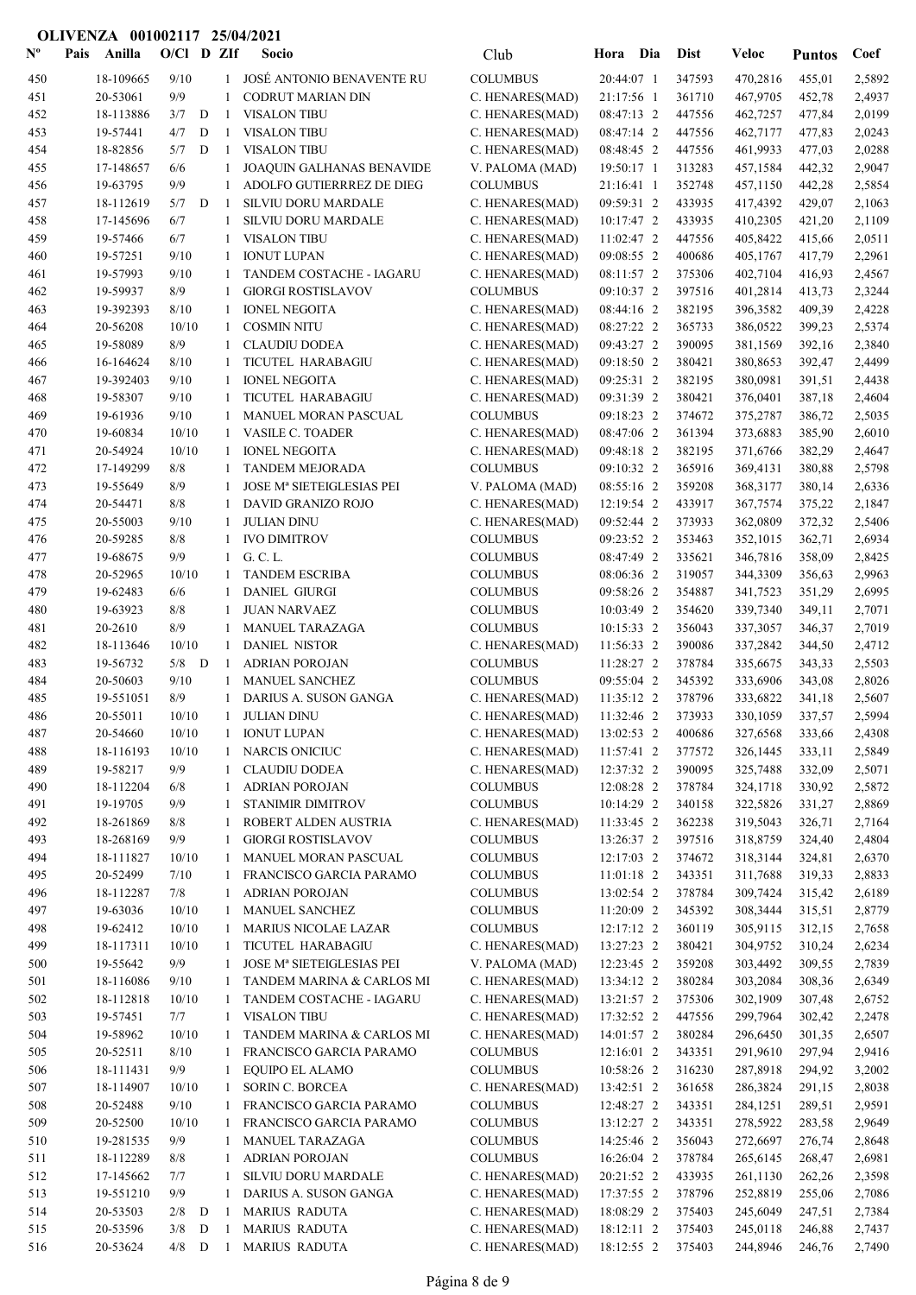| $N^{\circ}$ | Pais | Anilla              | $O/C1$ D ZIf |   |                   | <b>Socio</b>                           | Club                               | Hora Dia                 |            | <b>Dist</b>      | <b>Veloc</b>         | <b>Puntos</b>    | Coef             |
|-------------|------|---------------------|--------------|---|-------------------|----------------------------------------|------------------------------------|--------------------------|------------|------------------|----------------------|------------------|------------------|
| 450         |      | 18-109665           | 9/10         |   |                   | JOSÉ ANTONIO BENAVENTE RU              | <b>COLUMBUS</b>                    | 20:44:07 1               |            | 347593           | 470,2816             | 455,01           | 2,5892           |
| 451         |      | 20-53061            | 9/9          |   | 1                 | <b>CODRUT MARIAN DIN</b>               | C. HENARES(MAD)                    | 21:17:56 1               |            | 361710           | 467,9705             | 452,78           | 2,4937           |
| 452         |      | 18-113886           | 3/7          | D | 1                 | <b>VISALON TIBU</b>                    | C. HENARES(MAD)                    | 08:47:13 2               |            | 447556           | 462,7257             | 477,84           | 2,0199           |
| 453         |      | 19-57441            | 4/7          | D | $\mathbf{1}$      | <b>VISALON TIBU</b>                    | C. HENARES(MAD)                    | 08:47:14 2               |            | 447556           | 462,7177             | 477,83           | 2,0243           |
| 454         |      | 18-82856            | 5/7          | D | 1                 | <b>VISALON TIBU</b>                    | C. HENARES(MAD)                    | 08:48:45 2               |            | 447556           | 461,9933             | 477,03           | 2,0288           |
| 455         |      | 17-148657           | 6/6          |   | 1                 | JOAQUIN GALHANAS BENAVIDE              | V. PALOMA (MAD)                    | 19:50:17 1               |            | 313283           | 457,1584             | 442,32           | 2,9047           |
| 456         |      | 19-63795            | 9/9          |   | 1                 | ADOLFO GUTIERRREZ DE DIEG              | <b>COLUMBUS</b>                    | 21:16:41 1               |            | 352748           | 457,1150             | 442,28           | 2,5854           |
| 457         |      | 18-112619           | 5/7          | D | 1                 | SILVIU DORU MARDALE                    | C. HENARES(MAD)                    | 09:59:31 2               |            | 433935           | 417,4392             | 429,07           | 2,1063           |
| 458         |      | 17-145696           | 6/7          |   | 1                 | SILVIU DORU MARDALE                    | C. HENARES(MAD)                    | 10:17:47 2               |            | 433935           | 410,2305             | 421,20           | 2,1109           |
| 459         |      | 19-57466            | 6/7          |   | 1                 | <b>VISALON TIBU</b>                    | C. HENARES(MAD)                    | 11:02:47 2               |            | 447556           | 405,8422             | 415,66           | 2,0511           |
| 460         |      | 19-57251            | 9/10         |   | 1                 | <b>IONUT LUPAN</b>                     | C. HENARES(MAD)                    | 09:08:55 2               |            | 400686           | 405,1767             | 417,79           | 2,2961           |
| 461         |      | 19-57993            | 9/10         |   | 1                 | TANDEM COSTACHE - IAGARU               | C. HENARES(MAD)                    | 08:11:57 2               |            | 375306           | 402,7104             | 416,93           | 2,4567           |
| 462         |      | 19-59937            | 8/9          |   | 1                 | <b>GIORGI ROSTISLAVOV</b>              | <b>COLUMBUS</b>                    | 09:10:37 2               |            | 397516           | 401,2814             | 413,73           | 2,3244           |
| 463         |      | 19-392393           | 8/10         |   | 1                 | <b>IONEL NEGOITA</b>                   | C. HENARES(MAD)                    | 08:44:16 2               |            | 382195           | 396,3582             | 409,39           | 2,4228           |
| 464         |      | 20-56208            | 10/10        |   | 1                 | <b>COSMIN NITU</b>                     | C. HENARES(MAD)                    | 08:27:22 2               |            | 365733           | 386,0522             | 399,23           | 2,5374           |
| 465         |      | 19-58089            | 8/9          |   | 1                 | <b>CLAUDIU DODEA</b>                   | C. HENARES(MAD)                    | 09:43:27 2               |            | 390095           | 381,1569             | 392,16           | 2,3840           |
| 466         |      | 16-164624           | 8/10         |   | 1                 | TICUTEL HARABAGIU                      | C. HENARES(MAD)                    | 09:18:50 2               |            | 380421           | 380,8653             | 392,47           | 2,4499           |
| 467         |      | 19-392403           | 9/10         |   | 1                 | <b>IONEL NEGOITA</b>                   | C. HENARES(MAD)                    | 09:25:31 2               |            | 382195           | 380,0981             | 391,51           | 2,4438           |
| 468         |      | 19-58307            | 9/10         |   | 1                 | TICUTEL HARABAGIU                      | C. HENARES(MAD)                    | 09:31:39 2               |            | 380421           | 376,0401             | 387,18           | 2,4604           |
| 469         |      | 19-61936            | 9/10         |   | 1                 | MANUEL MORAN PASCUAL                   | <b>COLUMBUS</b>                    | 09:18:23 2               |            | 374672           | 375,2787             | 386,72           | 2,5035           |
| 470         |      | 19-60834            | 10/10        |   | $\mathbf{1}$      | VASILE C. TOADER                       | C. HENARES(MAD)                    | 08:47:06 2               |            | 361394           | 373,6883             | 385,90           | 2,6010           |
| 471         |      | 20-54924            | 10/10        |   | 1                 | <b>IONEL NEGOITA</b>                   | C. HENARES(MAD)                    | 09:48:18 2               |            | 382195           | 371,6766             | 382,29           | 2,4647           |
| 472         |      | 17-149299           | 8/8          |   |                   | <b>TANDEM MEJORADA</b>                 | <b>COLUMBUS</b>                    | 09:10:32 2               |            | 365916           | 369,4131             | 380,88           | 2,5798           |
| 473         |      | 19-55649            | 8/9          |   | 1                 | JOSE Mª SIETEIGLESIAS PEI              | V. PALOMA (MAD)                    | 08:55:16 2               |            | 359208           | 368,3177             | 380,14           | 2,6336           |
| 474         |      | 20-54471            | 8/8          |   | 1                 | DAVID GRANIZO ROJO                     | C. HENARES(MAD)                    | 12:19:54 2               |            | 433917           | 367,7574             | 375,22           | 2,1847           |
| 475         |      | 20-55003            | 9/10         |   | 1                 | <b>JULIAN DINU</b>                     | C. HENARES(MAD)                    | 09:52:44 2               |            | 373933           | 362,0809             | 372,32           | 2,5406           |
| 476         |      | 20-59285            | 8/8          |   | 1                 | <b>IVO DIMITROV</b>                    | <b>COLUMBUS</b>                    | 09:23:52 2               |            | 353463           | 352,1015             | 362,71           | 2,6934           |
| 477         |      | 19-68675            | 9/9          |   | $\mathbf{1}$      | G. C. L.                               | <b>COLUMBUS</b>                    | 08:47:49 2               |            | 335621           | 346,7816             | 358,09           | 2,8425           |
| 478         |      | 20-52965            | 10/10        |   | 1                 | <b>TANDEM ESCRIBA</b>                  | <b>COLUMBUS</b>                    | 08:06:36 2               |            | 319057           | 344,3309             | 356,63           | 2,9963           |
| 479         |      | 19-62483            | 6/6          |   | 1                 | <b>DANIEL GIURGI</b>                   | <b>COLUMBUS</b>                    | 09:58:26 2               |            | 354887           | 341,7523             | 351,29           | 2,6995           |
| 480<br>481  |      | 19-63923<br>20-2610 | 8/8<br>8/9   |   | 1                 | <b>JUAN NARVAEZ</b><br>MANUEL TARAZAGA | <b>COLUMBUS</b><br><b>COLUMBUS</b> | 10:03:49 2<br>10:15:33 2 |            | 354620<br>356043 | 339,7340             | 349,11           | 2,7071           |
| 482         |      | 18-113646           | 10/10        |   | 1<br>$\mathbf{1}$ | <b>DANIEL NISTOR</b>                   |                                    | 11:56:33 2               |            | 390086           | 337,3057             | 346,37           | 2,7019           |
| 483         |      | 19-56732            | $5/8$ D      |   | 1                 | <b>ADRIAN POROJAN</b>                  | C. HENARES(MAD)<br><b>COLUMBUS</b> | 11:28:27 2               |            | 378784           | 337,2842<br>335,6675 | 344,50<br>343,33 | 2,4712<br>2,5503 |
| 484         |      | 20-50603            | 9/10         |   | 1                 | MANUEL SANCHEZ                         | <b>COLUMBUS</b>                    | 09:55:04 2               |            | 345392           | 333,6906             | 343,08           | 2,8026           |
| 485         |      | 19-551051           | 8/9          |   | 1                 | DARIUS A. SUSON GANGA                  | C. HENARES(MAD)                    | 11:35:12 2               |            | 378796           | 333,6822             | 341,18           | 2,5607           |
| 486         |      | 20-55011            | 10/10        |   | $\mathbf{1}$      | <b>JULIAN DINU</b>                     | C. HENARES(MAD)                    | 11:32:46 2               |            | 373933           | 330,1059             | 337,57           | 2,5994           |
| 487         |      | 20-54660            | $10/10$      |   | $\mathbf{1}$      | <b>IONUT LUPAN</b>                     | C. HENARES(MAD)                    | 13:02:53 2               |            | 400686           | 327,6568             | 333,66           | 2,4308           |
| 488         |      | 18-116193           | 10/10        |   | 1                 | NARCIS ONICIUC                         | C. HENARES(MAD)                    | 11:57:41 2               |            | 377572           | 326,1445             | 333,11           | 2,5849           |
| 489         |      | 19-58217            | 9/9          |   | 1                 | <b>CLAUDIU DODEA</b>                   | C. HENARES(MAD)                    | 12:37:32 2               |            | 390095           | 325,7488             | 332,09           | 2,5071           |
| 490         |      | 18-112204           | 6/8          |   | 1                 | <b>ADRIAN POROJAN</b>                  | <b>COLUMBUS</b>                    |                          | 12:08:28 2 | 378784           | 324,1718             | 330,92           | 2,5872           |
| 491         |      | 19-19705            | 9/9          |   | 1                 | STANIMIR DIMITROV                      | <b>COLUMBUS</b>                    |                          | 10:14:29 2 | 340158           | 322,5826             | 331,27           | 2,8869           |
| 492         |      | 18-261869           | 8/8          |   | 1                 | ROBERT ALDEN AUSTRIA                   | C. HENARES(MAD)                    |                          | 11:33:45 2 | 362238           | 319,5043             | 326,71           | 2,7164           |
| 493         |      | 18-268169           | 9/9          |   | 1                 | <b>GIORGI ROSTISLAVOV</b>              | <b>COLUMBUS</b>                    | 13:26:37 2               |            | 397516           | 318,8759             | 324,40           | 2,4804           |
| 494         |      | 18-111827           | 10/10        |   | 1                 | MANUEL MORAN PASCUAL                   | <b>COLUMBUS</b>                    |                          | 12:17:03 2 | 374672           | 318,3144             | 324,81           | 2,6370           |
| 495         |      | 20-52499            | 7/10         |   | 1                 | FRANCISCO GARCIA PARAMO                | <b>COLUMBUS</b>                    |                          | 11:01:18 2 | 343351           | 311,7688             | 319,33           | 2,8833           |
| 496         |      | 18-112287           | 7/8          |   | 1                 | <b>ADRIAN POROJAN</b>                  | <b>COLUMBUS</b>                    |                          | 13:02:54 2 | 378784           | 309,7424             | 315,42           | 2,6189           |
| 497         |      | 19-63036            | 10/10        |   | 1                 | MANUEL SANCHEZ                         | <b>COLUMBUS</b>                    |                          | 11:20:09 2 | 345392           | 308,3444             | 315,51           | 2,8779           |
| 498         |      | 19-62412            | 10/10        |   | 1                 | <b>MARIUS NICOLAE LAZAR</b>            | <b>COLUMBUS</b>                    | 12:17:12 2               |            | 360119           | 305,9115             | 312,15           | 2,7658           |
| 499         |      | 18-117311           | 10/10        |   | 1                 | TICUTEL HARABAGIU                      | C. HENARES(MAD)                    | 13:27:23 2               |            | 380421           | 304,9752             | 310,24           | 2,6234           |
| 500         |      | 19-55642            | 9/9          |   | 1                 | JOSE Mª SIETEIGLESIAS PEI              | V. PALOMA (MAD)                    | 12:23:45 2               |            | 359208           | 303,4492             | 309,55           | 2,7839           |
| 501         |      | 18-116086           | 9/10         |   | 1                 | TANDEM MARINA & CARLOS MI              | C. HENARES(MAD)                    | 13:34:12 2               |            | 380284           | 303,2084             | 308,36           | 2,6349           |
| 502         |      | 18-112818           | 10/10        |   | 1                 | TANDEM COSTACHE - IAGARU               | C. HENARES(MAD)                    | 13:21:57 2               |            | 375306           | 302,1909             | 307,48           | 2,6752           |
| 503         |      | 19-57451            | 7/7          |   | $\mathbf{1}$      | <b>VISALON TIBU</b>                    | C. HENARES(MAD)                    | 17:32:52 2               |            | 447556           | 299,7964             | 302,42           | 2,2478           |
| 504         |      | 19-58962            | 10/10        |   | 1                 | TANDEM MARINA & CARLOS MI              | C. HENARES(MAD)                    |                          | 14:01:57 2 | 380284           | 296,6450             | 301,35           | 2,6507           |
| 505         |      | 20-52511            | 8/10         |   | 1                 | FRANCISCO GARCIA PARAMO                | <b>COLUMBUS</b>                    | 12:16:01 2               |            | 343351           | 291,9610             | 297,94           | 2,9416           |
| 506         |      | 18-111431           | 9/9          |   | 1                 | EQUIPO EL ALAMO                        | <b>COLUMBUS</b>                    | 10:58:26 2               |            | 316230           | 287,8918             | 294,92           | 3,2002           |
| 507         |      | 18-114907           | 10/10        |   | 1                 | <b>SORIN C. BORCEA</b>                 | C. HENARES(MAD)                    | 13:42:51 2               |            | 361658           | 286,3824             | 291,15           | 2,8038           |
| 508         |      | 20-52488            | 9/10         |   | 1                 | FRANCISCO GARCIA PARAMO                | <b>COLUMBUS</b>                    |                          | 12:48:27 2 | 343351           | 284,1251             | 289,51           | 2,9591           |
| 509         |      | 20-52500            | 10/10        |   | 1                 | FRANCISCO GARCIA PARAMO                | <b>COLUMBUS</b>                    |                          | 13:12:27 2 | 343351           | 278,5922             | 283,58           | 2,9649           |
| 510         |      | 19-281535           | 9/9          |   | 1                 | MANUEL TARAZAGA                        | <b>COLUMBUS</b>                    | 14:25:46 2               |            | 356043           | 272,6697             | 276,74           | 2,8648           |
| 511         |      | 18-112289           | 8/8          |   | 1                 | ADRIAN POROJAN                         | <b>COLUMBUS</b>                    | 16:26:04 2               |            | 378784           | 265,6145             | 268,47           | 2,6981           |
| 512         |      | 17-145662           | 7/7          |   | 1                 | SILVIU DORU MARDALE                    | C. HENARES(MAD)                    | 20:21:52 2               |            | 433935           | 261,1130             | 262,26           | 2,3598           |
| 513         |      | 19-551210           | 9/9          |   | 1                 | DARIUS A. SUSON GANGA                  | C. HENARES(MAD)                    | 17:37:55 2               |            | 378796           | 252,8819             | 255,06           | 2,7086           |
| 514         |      | 20-53503            | 2/8          | D | 1                 | <b>MARIUS RADUTA</b>                   | C. HENARES(MAD)                    |                          | 18:08:29 2 | 375403           | 245,6049             | 247,51           | 2,7384           |
| 515         |      | 20-53596            | 3/8          | D | 1                 | <b>MARIUS RADUTA</b>                   | C. HENARES(MAD)                    | 18:12:11 2               |            | 375403           | 245,0118             | 246,88           | 2,7437           |
| 516         |      | 20-53624            | $4/8$ D      |   | -1                | <b>MARIUS RADUTA</b>                   | C. HENARES(MAD)                    | 18:12:55 2               |            | 375403           | 244,8946             | 246,76           | 2,7490           |